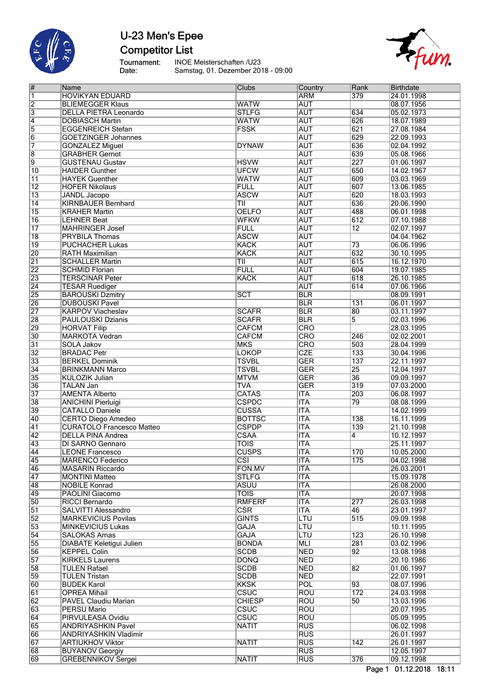

## U-23 Men's Epee **Competitor List**

Tournament:<br>Date:

INOE Meisterschaften /U23 Samstag, 01. Dezember 2018 - 09:00



| #               | Name                             | Clubs                   | Country    | Rank            | <b>Birthdate</b> |
|-----------------|----------------------------------|-------------------------|------------|-----------------|------------------|
| $\overline{1}$  | <b>HOVIKYAN EDUARD</b>           |                         | <b>ARM</b> | 379             | 24.01.1998       |
| $\overline{2}$  | <b>BLIEMEGGER Klaus</b>          | <b>WATW</b>             | <b>AUT</b> |                 | 08.07.1956       |
| $\overline{3}$  | <b>DELLA PIETRA Leonardo</b>     | <b>STLFG</b>            | <b>AUT</b> | 634             | 05.02.1973       |
| $\overline{4}$  | <b>DOBIASCH Martin</b>           | <b>WATW</b>             | <b>AUT</b> | 626             | 18.07.1989       |
| 5               | <b>EGGENREICH Stefan</b>         | <b>FSSK</b>             | <b>AUT</b> | 621             | 27.08.1984       |
| $\overline{6}$  |                                  |                         | <b>AUT</b> | 629             | 22.09.1993       |
|                 | <b>GOETZINGER Johannes</b>       |                         |            |                 |                  |
| 7               | <b>GONZALEZ Miguel</b>           | <b>DYNAW</b>            | <b>AUT</b> | 636             | 02.04.1992       |
| $\overline{8}$  | <b>GRABHER Gernot</b>            |                         | <b>AUT</b> | 639             | 05.08.1966       |
| $\overline{9}$  | <b>GUSTENAU Gustav</b>           | <b>HSVW</b>             | <b>AUT</b> | 227             | 01.06.1997       |
| $\overline{10}$ | <b>HAIDER Gunther</b>            | <b>UFCW</b>             | <b>AUT</b> | 650             | 14.02.1967       |
| $\overline{11}$ | <b>HAYEK Guenther</b>            | <b>WATW</b>             | <b>AUT</b> | 609             | 03.03.1969       |
| $\overline{12}$ | <b>HOFER Nikolaus</b>            | <b>FULL</b>             | <b>AUT</b> | 607             | 13.06.1985       |
| $\overline{13}$ | <b>JANDL</b> Jacopo              | <b>ASCW</b>             | <b>AUT</b> | 620             | 18.03.1993       |
| $\overline{14}$ | <b>KIRNBAUER Bernhard</b>        | T                       | <b>AUT</b> | 636             | 20.06.1990       |
| 15              |                                  | <b>OELFO</b>            | <b>AUT</b> | 488             |                  |
|                 | <b>KRAHER Martin</b>             |                         |            |                 | 06.01.1998       |
| $\overline{16}$ | <b>LEHNER Beat</b>               | <b>WFKW</b>             | <b>AUT</b> | 612             | 07.10.1988       |
| $\overline{17}$ | <b>MAHRINGER Josef</b>           | <b>FULL</b>             | <b>AUT</b> | $\overline{12}$ | 02.07.1997       |
| $\overline{18}$ | <b>PRYBILA Thomas</b>            | <b>ASCW</b>             | <b>AUT</b> |                 | 04.04.1962       |
| $\overline{19}$ | <b>PUCHACHER Lukas</b>           | <b>KACK</b>             | <b>AUT</b> | $\overline{73}$ | 06.06.1996       |
| 20              | <b>RATH Maximilian</b>           | <b>KACK</b>             | <b>AUT</b> | 632             | 30.10.1995       |
| $\overline{21}$ | <b>SCHALLER Martin</b>           | $\overline{T}$ II       | <b>AUT</b> | 615             | 16.12.1970       |
| $\overline{22}$ | <b>SCHMID Florian</b>            | <b>FULL</b>             | <b>AUT</b> | 604             | 19.07.1985       |
| $\overline{23}$ | <b>TERSCINAR Peter</b>           | <b>KACK</b>             | <b>AUT</b> | 618             | 26.10.1985       |
| $\overline{24}$ |                                  |                         |            |                 |                  |
|                 | <b>TESAR Ruediger</b>            |                         | <b>AUT</b> | 614             | 07.06.1966       |
| 25              | <b>BAROUSKI Dzmitry</b>          | SCT                     | <b>BLR</b> |                 | 08.09.1991       |
| 26              | <b>DUBOUSKI Pavel</b>            |                         | <b>BLR</b> | 131             | 06.01.1997       |
| 27              | <b>KARPOV Viacheslav</b>         | <b>SCAFR</b>            | <b>BLR</b> | 80              | 03.11.1997       |
| 28              | <b>PAULOUSKI Dzianis</b>         | <b>SCAFR</b>            | <b>BLR</b> | $\overline{5}$  | 02.03.1996       |
| 29              | <b>HORVAT Filip</b>              | <b>CAFCM</b>            | <b>CRO</b> |                 | 28.03.1995       |
| $\overline{30}$ | <b>MARKOTA Vedran</b>            | <b>CAFCM</b>            | CRO        | 246             | 02.02.2001       |
| 31              | <b>SOLA Jakov</b>                | <b>MKS</b>              | <b>CRO</b> | 503             | 28.04.1999       |
| $\overline{32}$ |                                  |                         | <b>CZE</b> | 133             |                  |
|                 | <b>BRADAC Petr</b>               | <b>LOKOP</b>            |            |                 | 30.04.1996       |
| 33              | <b>BERKEL Dominik</b>            | <b>TSVBL</b>            | <b>GER</b> | 137             | 22.11.1997       |
| $\overline{34}$ | <b>BRINKMANN Marco</b>           | <b>TSVBL</b>            | <b>GER</b> | $\overline{25}$ | 12.04.1997       |
| 35              | <b>KULOZIK Julian</b>            | <b>MTVM</b>             | <b>GER</b> | 36              | 09.09.1997       |
| 36              | <b>TALAN Jan</b>                 | <b>TVA</b>              | <b>GER</b> | 319             | 07.03.2000       |
| 37              | <b>AMENTA Alberto</b>            | <b>CATAS</b>            | <b>ITA</b> | 203             | 06.08.1997       |
| 38              | <b>ANICHINI Pierluigi</b>        | <b>CSPDC</b>            | <b>ITA</b> | $\overline{79}$ | 08.08.1999       |
| 39              | <b>CATALLO Daniele</b>           | <b>CUSSA</b>            | <b>ITA</b> |                 | 14.02.1999       |
| 40              | <b>CERTO Diego Amedeo</b>        | <b>BOTTSC</b>           | <b>ITA</b> | 138             | 16.11.1999       |
| 41              | <b>CURATOLO Francesco Matteo</b> |                         | <b>ITA</b> | 139             |                  |
|                 |                                  | <b>CSPDP</b>            |            |                 | 21.10.1998       |
| $\overline{42}$ | <b>DELLA PINA Andrea</b>         | CSAA                    | <b>ITA</b> | 4               | 10.12.1997       |
| 43              | <b>DI SARNO Gennaro</b>          | <b>TOIS</b>             | <b>ITA</b> |                 | 25.11.1997       |
| $\overline{44}$ | LEONE Francesco                  | <b>CUSPS</b>            | <b>ITA</b> | 170             | 10.05.2000       |
| $\overline{45}$ | <b>MARENCO Federico</b>          | CSI                     | <b>ITA</b> | 175             | 04.02.1998       |
| 46              | <b>MASARIN Riccardo</b>          | FON.MV                  | <b>ITA</b> |                 | 26.03.2001       |
| $\overline{47}$ | <b>MONTINI Matteo</b>            | <b>STLFG</b>            | <b>ITA</b> |                 | 15.09.1978       |
| $\overline{48}$ | <b>NOBILE Konrad</b>             | <b>ASUU</b>             | <b>ITA</b> |                 | 26.08.2000       |
| 49              |                                  | <b>TOIS</b>             | <b>ITA</b> |                 | 20.07.1998       |
|                 | PAOLINI Giacomo                  |                         |            |                 |                  |
| 50              | <b>RICCI Bernardo</b>            | RMFERF                  | <b>ITA</b> | 277             | 26.03.1998       |
| $\overline{51}$ | SALVITTI Alessandro              | $\overline{\text{CSR}}$ | <b>ITA</b> | 46              | 23.01.1997       |
| $\overline{52}$ | <b>MARKEVICIUS Povilas</b>       | <b>GINTS</b>            | LTU        | 515             | 09.09.1998       |
| 53              | <b>MINKEVICIUS Lukas</b>         | <b>GAJA</b>             | <b>LTU</b> |                 | 10.11.1995       |
| $\overline{54}$ | <b>SALOKAS Arnas</b>             | <b>GAJA</b>             | LTU        | 123             | 26.10.1998       |
| 55              | <b>DIABATE Keletigui Julien</b>  | <b>BONDA</b>            | MLI        | 281             | 03.02.1996       |
| 56              | <b>KEPPEL Colin</b>              | <b>SCDB</b>             | <b>NED</b> | 92              | 13.08.1998       |
| 57              | <b>KIRKELS Laurens</b>           | <b>DONQ</b>             | <b>NED</b> |                 | 20.10.1986       |
| 58              | <b>TULEN Rafael</b>              | <b>SCDB</b>             | <b>NED</b> |                 |                  |
|                 |                                  |                         |            | $\overline{82}$ | 01.06.1997       |
| 59              | <b>TULEN Tristan</b>             | <b>SCDB</b>             | <b>NED</b> |                 | 22.07.1991       |
| 60              | <b>BUDEK Karol</b>               | <b>KKSK</b>             | <b>POL</b> | $\overline{93}$ | 08.07.1996       |
| $\overline{61}$ | <b>OPREA Mihail</b>              | <b>CSUC</b>             | <b>ROU</b> | 172             | 24.03.1998       |
| $\overline{62}$ | PAVEL Claudiu Marian             | <b>CHIESP</b>           | <b>ROU</b> | 50              | 13.03.1996       |
| 63              | <b>PERSU Mario</b>               | <b>CSUC</b>             | <b>ROU</b> |                 | 20.07.1995       |
| $\overline{64}$ | PIRVULEASA Ovidiu                | CSUC                    | <b>ROU</b> |                 | 05.09.1995       |
| 65              | <b>ANDRIYASHKIN Pavel</b>        | <b>NATIT</b>            | <b>RUS</b> |                 | 06.02.1998       |
| 66              | <b>ANDRIYASHKIN Vladimir</b>     |                         | <b>RUS</b> |                 | 26.01.1997       |
|                 |                                  |                         |            |                 |                  |
| 67              | <b>ARTIUKHOV Viktor</b>          | <b>NATIT</b>            | <b>RUS</b> | 142             | 26.01.1997       |
| 68              | <b>BUYANOV Georgiy</b>           |                         | <b>RUS</b> |                 | 12.05.1997       |
| 69              | <b>GREBENNIKOV Sergei</b>        | <b>NATIT</b>            | <b>RUS</b> | 376             | 09.12.1998       |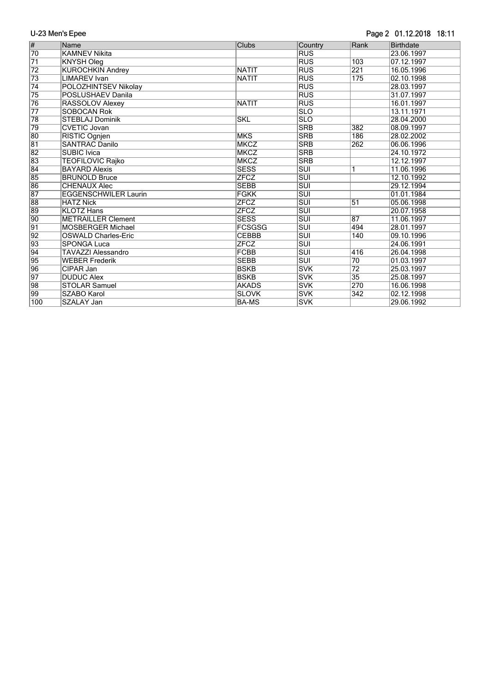#### Page 2 01.12.2018 18:11

| $\overline{\#}$ | Name                        | Clubs         | Country                 | Rank            | <b>Birthdate</b> |
|-----------------|-----------------------------|---------------|-------------------------|-----------------|------------------|
| $\overline{70}$ | <b>KAMNEV Nikita</b>        |               | <b>RUS</b>              |                 | 23.06.1997       |
| $\overline{71}$ | <b>KNYSH Oleg</b>           |               | <b>RUS</b>              | 103             | 07.12.1997       |
| $\overline{72}$ | <b>KUROCHKIN Andrey</b>     | <b>NATIT</b>  | <b>RUS</b>              | 221             | 16.05.1996       |
| $\overline{73}$ | <b>LIMAREV</b> Ivan         | <b>NATIT</b>  | <b>RUS</b>              | 175             | 02.10.1998       |
| $\overline{74}$ | POLOZHINTSEV Nikolay        |               | <b>RUS</b>              |                 | 28.03.1997       |
| $\overline{75}$ | POSLUSHAEV Danila           |               | <b>RUS</b>              |                 | 31.07.1997       |
| $\overline{76}$ | RASSOLOV Alexey             | <b>NATIT</b>  | <b>RUS</b>              |                 | 16.01.1997       |
| $\overline{77}$ | <b>SOBOCAN Rok</b>          |               | <b>SLO</b>              |                 | 13.11.1971       |
| 78              | <b>STEBLAJ Dominik</b>      | <b>SKL</b>    | <b>SLO</b>              |                 | 28.04.2000       |
| 79              | <b>CVETIC Jovan</b>         |               | <b>SRB</b>              | 382             | 08.09.1997       |
| 80              | RISTIC Ognjen               | <b>MKS</b>    | <b>SRB</b>              | 186             | 28.02.2002       |
| $\overline{81}$ | <b>SANTRAC Danilo</b>       | <b>MKCZ</b>   | <b>SRB</b>              | 262             | 06.06.1996       |
| $\overline{82}$ | <b>SUBIC Ivica</b>          | <b>MKCZ</b>   | <b>SRB</b>              |                 | 24.10.1972       |
| 83              | <b>TEOFILOVIC Rajko</b>     | <b>MKCZ</b>   | <b>SRB</b>              |                 | 12.12.1997       |
| 84              | <b>BAYARD Alexis</b>        | <b>SESS</b>   | <b>SUI</b>              | 1               | 11.06.1996       |
| 85              | <b>BRUNOLD Bruce</b>        | <b>ZFCZ</b>   | <b>SUI</b>              |                 | 12.10.1992       |
| 86              | <b>CHENAUX Alec</b>         | <b>SEBB</b>   | $\overline{\text{SUI}}$ |                 | 29.12.1994       |
| 87              | <b>EGGENSCHWILER Laurin</b> | FGKK          | <b>SUI</b>              |                 | 01.01.1984       |
| 88              | <b>HATZ Nick</b>            | <b>ZFCZ</b>   | $\overline{\text{SUI}}$ | 51              | 05.06.1998       |
| 89              | <b>KLOTZ Hans</b>           | <b>ZFCZ</b>   | <b>SUI</b>              |                 | 20.07.1958       |
| 90              | <b>METRAILLER Clement</b>   | <b>SESS</b>   | <b>SUI</b>              | $\overline{87}$ | 11.06.1997       |
| $\overline{91}$ | <b>MOSBERGER Michael</b>    | <b>FCSGSG</b> | <b>SUI</b>              | 494             | 28.01.1997       |
| $\overline{92}$ | <b>OSWALD Charles-Eric</b>  | <b>CEBBB</b>  | $\overline{\text{SUI}}$ | 140             | 09.10.1996       |
| 93              | <b>SPONGA Luca</b>          | <b>ZFCZ</b>   | <b>SUI</b>              |                 | 24.06.1991       |
| 94              | <b>TAVAZZI Alessandro</b>   | <b>FCBB</b>   | <b>SUI</b>              | 416             | 26.04.1998       |
| 95              | <b>WEBER Frederik</b>       | <b>SEBB</b>   | <b>SUI</b>              | $\overline{70}$ | 01.03.1997       |
| 96              | CIPAR Jan                   | <b>BSKB</b>   | <b>SVK</b>              | $\overline{72}$ | 25.03.1997       |
| 97              | <b>DUDUC Alex</b>           | <b>BSKB</b>   | <b>SVK</b>              | $\overline{35}$ | 25.08.1997       |
| 98              | <b>STOLAR Samuel</b>        | AKADS         | <b>SVK</b>              | 270             | 16.06.1998       |
| $\overline{99}$ | <b>SZABO Karol</b>          | <b>SLOVK</b>  | <b>SVK</b>              | 342             | 02.12.1998       |
| 100             | SZALAY Jan                  | <b>BA-MS</b>  | <b>SVK</b>              |                 | 29.06.1992       |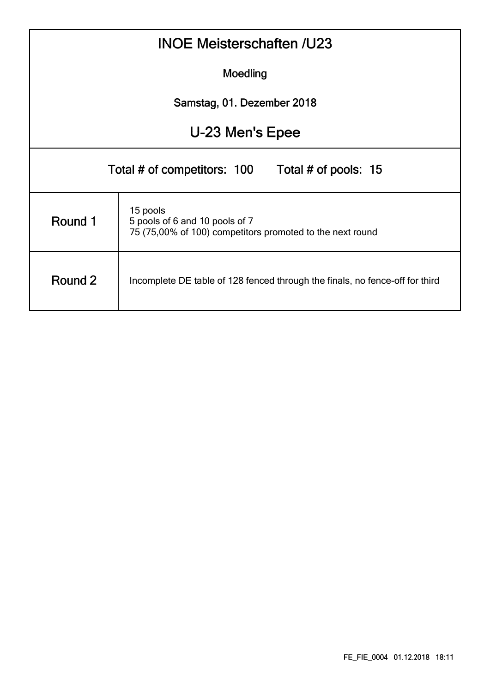| <b>INOE Meisterschaften /U23</b>                 |                                                                                                         |  |  |  |  |  |  |  |  |  |  |
|--------------------------------------------------|---------------------------------------------------------------------------------------------------------|--|--|--|--|--|--|--|--|--|--|
| Moedling                                         |                                                                                                         |  |  |  |  |  |  |  |  |  |  |
| Samstag, 01. Dezember 2018                       |                                                                                                         |  |  |  |  |  |  |  |  |  |  |
| U-23 Men's Epee                                  |                                                                                                         |  |  |  |  |  |  |  |  |  |  |
| Total # of competitors: 100 Total # of pools: 15 |                                                                                                         |  |  |  |  |  |  |  |  |  |  |
| Round 1                                          | 15 pools<br>5 pools of 6 and 10 pools of 7<br>75 (75,00% of 100) competitors promoted to the next round |  |  |  |  |  |  |  |  |  |  |
| Round 2                                          | Incomplete DE table of 128 fenced through the finals, no fence-off for third                            |  |  |  |  |  |  |  |  |  |  |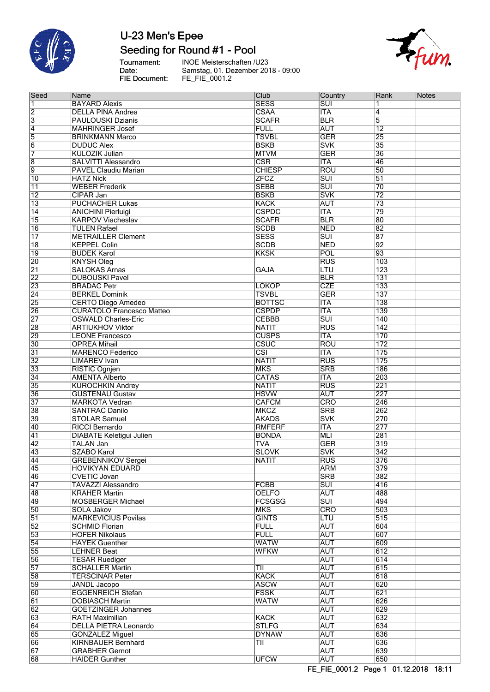

## Seeding for Round #1 - Pool

Tournament:<br>Date: FIE Document:

**INOE Meisterschaften /U23** Samstag, 01. Dezember 2018 - 09:00<br>FE\_FIE\_0001.2



| Seed            | Name                             | Club                    | Country                 | Rank             | Notes |
|-----------------|----------------------------------|-------------------------|-------------------------|------------------|-------|
| 1               | <b>BAYARD Alexis</b>             | <b>SESS</b>             | $\overline{\text{SUI}}$ | 1                |       |
| $\overline{2}$  | <b>DELLA PINA Andrea</b>         | CSAA                    | <b>ITA</b>              | $\overline{4}$   |       |
| $\overline{3}$  | <b>PAULOUSKI Dzianis</b>         | <b>SCAFR</b>            | <b>BLR</b>              | $\overline{5}$   |       |
| $\overline{4}$  | <b>MAHRINGER Josef</b>           | <b>FULL</b>             | <b>AUT</b>              | $\overline{12}$  |       |
| $\overline{5}$  | <b>BRINKMANN Marco</b>           | <b>TSVBL</b>            | <b>GER</b>              | 25               |       |
| $\overline{6}$  | <b>DUDUC Alex</b>                | <b>BSKB</b>             | <b>SVK</b>              | 35               |       |
| 7               | <b>KULOZIK Julian</b>            | <b>MTVM</b>             | <b>GER</b>              | 36               |       |
|                 |                                  |                         |                         |                  |       |
| $\overline{8}$  | SALVITTI Alessandro              | $\overline{\text{CSR}}$ | <b>ITA</b>              | 46               |       |
| 9               | PAVEL Claudiu Marian             | <b>CHIESP</b>           | <b>ROU</b>              | 50               |       |
| $\overline{10}$ | <b>HATZ Nick</b>                 | <b>ZFCZ</b>             | $\overline{\text{SUI}}$ | $\overline{51}$  |       |
| $\overline{11}$ | <b>WEBER Frederik</b>            | <b>SEBB</b>             | $\overline{\text{SUI}}$ | 70               |       |
| $\overline{12}$ | CIPAR Jan                        | <b>BSKB</b>             | <b>SVK</b>              | $\overline{72}$  |       |
| $\overline{13}$ | <b>PUCHACHER Lukas</b>           | <b>KACK</b>             | <b>AUT</b>              | $\overline{73}$  |       |
| $\overline{14}$ | <b>ANICHINI Pierluigi</b>        | <b>CSPDC</b>            | <b>ITA</b>              | 79               |       |
| $\overline{15}$ | <b>KARPOV Viacheslav</b>         | <b>SCAFR</b>            | <b>BLR</b>              | 80               |       |
| $\overline{16}$ | <b>TULEN Rafael</b>              | <b>SCDB</b>             | <b>NED</b>              | 82               |       |
| $\overline{17}$ | <b>METRAILLER Clement</b>        | <b>SESS</b>             | $\overline{\text{SUI}}$ | 87               |       |
| $\overline{18}$ | <b>KEPPEL Colin</b>              | <b>SCDB</b>             | <b>NED</b>              | 92               |       |
| $\overline{19}$ | <b>BUDEK Karol</b>               | <b>KKSK</b>             | POL                     | 93               |       |
| 20              | <b>KNYSH Oleg</b>                |                         | <b>RUS</b>              | 103              |       |
| $\overline{21}$ | <b>SALOKAS Arnas</b>             | <b>GAJA</b>             | LTU                     | $\overline{123}$ |       |
|                 |                                  |                         |                         |                  |       |
| 22              | <b>DUBOUSKI Pavel</b>            |                         | <b>BLR</b>              | 131              |       |
| $\overline{23}$ | <b>BRADAC Petr</b>               | <b>LOKOP</b>            | <b>CZE</b>              | $\overline{133}$ |       |
| $\overline{24}$ | <b>BERKEL Dominik</b>            | <b>TSVBL</b>            | <b>GER</b>              | 137              |       |
| 25              | <b>CERTO Diego Amedeo</b>        | <b>BOTTSC</b>           | <b>ITA</b>              | 138              |       |
| 26              | <b>CURATOLO Francesco Matteo</b> | <b>CSPDP</b>            | <b>ITA</b>              | 139              |       |
| $\overline{27}$ | <b>OSWALD Charles-Eric</b>       | <b>CEBBB</b>            | $\overline{\text{SUI}}$ | 140              |       |
| 28              | <b>ARTIUKHOV Viktor</b>          | <b>NATIT</b>            | <b>RUS</b>              | $\overline{142}$ |       |
| 29              | <b>LEONE Francesco</b>           | <b>CUSPS</b>            | <b>ITA</b>              | 170              |       |
| $\overline{30}$ | <b>OPREA Mihail</b>              | <b>CSUC</b>             | <b>ROU</b>              | 172              |       |
| $\overline{31}$ | <b>MARENCO Federico</b>          | $\overline{\text{CSI}}$ | <b>ITA</b>              | 175              |       |
| $\overline{32}$ | <b>LIMAREV</b> Ivan              | <b>NATIT</b>            | <b>RUS</b>              | 175              |       |
| $\overline{33}$ | RISTIC Ognjen                    | <b>MKS</b>              | <b>SRB</b>              | 186              |       |
| $\overline{34}$ | <b>AMENTA Alberto</b>            | <b>CATAS</b>            | <b>ITA</b>              | 203              |       |
|                 |                                  |                         |                         |                  |       |
| 35              | <b>KUROCHKIN Andrey</b>          | <b>NATIT</b>            | <b>RUS</b>              | 221              |       |
| 36              | <b>GUSTENAU Gustav</b>           | <b>HSVW</b>             | <b>AUT</b>              | 227              |       |
| $\overline{37}$ | <b>MARKOTA Vedran</b>            | <b>CAFCM</b>            | CRO                     | 246              |       |
| 38              | <b>SANTRAC Danilo</b>            | <b>MKCZ</b>             | <b>SRB</b>              | 262              |       |
| 39              | <b>STOLAR Samuel</b>             | <b>AKADS</b>            | <b>SVK</b>              | 270              |       |
| 40              | <b>RICCI Bernardo</b>            | <b>RMFERF</b>           | <b>ITA</b>              | 277              |       |
| $\overline{41}$ | <b>DIABATE Keletigui Julien</b>  | <b>BONDA</b>            | <b>MLI</b>              | 281              |       |
| $\overline{42}$ | <b>TALAN Jan</b>                 | <b>TVA</b>              | <b>GER</b>              | 319              |       |
| 43              | <b>SZABO Karol</b>               | <b>SLOVK</b>            | <b>SVK</b>              | 342              |       |
| 44              | <b>GREBENNIKOV Sergei</b>        | <b>NATIT</b>            | <b>RUS</b>              | 376              |       |
| 45              | <b>HOVIKYAN EDUARD</b>           |                         | <b>ARM</b>              | 379              |       |
| 46              | <b>CVETIC Jovan</b>              |                         | <b>SRB</b>              | 382              |       |
| 47              | <b>TAVAZZI Alessandro</b>        | <b>FCBB</b>             | $\overline{\text{SUI}}$ | 416              |       |
| 48              | <b>KRAHER Martin</b>             | <b>OELFO</b>            | <b>AUT</b>              | 488              |       |
| 49              | <b>MOSBERGER Michael</b>         | <b>FCSGSG</b>           | $\overline{\text{SUI}}$ | 494              |       |
| $\overline{50}$ | SOLA Jakov                       | <b>MKS</b>              | <b>CRO</b>              | 503              |       |
|                 |                                  | <b>GINTS</b>            | <b>LTU</b>              | 515              |       |
| $\overline{51}$ | <b>MARKEVICIUS Povilas</b>       |                         |                         |                  |       |
| 52              | <b>SCHMID Florian</b>            | <b>FULL</b>             | <b>AUT</b>              | 604              |       |
| 53              | <b>HOFER Nikolaus</b>            | <b>FULL</b>             | <b>AUT</b>              | 607              |       |
| $\overline{54}$ | <b>HAYEK Guenther</b>            | <b>WATW</b>             | <b>AUT</b>              | 609              |       |
| $\overline{55}$ | <b>LEHNER Beat</b>               | <b>WFKW</b>             | <b>AUT</b>              | 612              |       |
| 56              | <b>TESAR Ruediger</b>            |                         | <b>AUT</b>              | 614              |       |
| 57              | <b>SCHALLER Martin</b>           | TII                     | <b>AUT</b>              | 615              |       |
| 58              | <b>TERSCINAR Peter</b>           | <b>KACK</b>             | <b>AUT</b>              | 618              |       |
| 59              | JANDL Jacopo                     | <b>ASCW</b>             | <b>AUT</b>              | 620              |       |
| 60              | <b>EGGENREICH Stefan</b>         | <b>FSSK</b>             | <b>AUT</b>              | 621              |       |
| 61              | <b>DOBIASCH Martin</b>           | <b>WATW</b>             | <b>AUT</b>              | 626              |       |
| 62              | <b>GOETZINGER Johannes</b>       |                         | <b>AUT</b>              | 629              |       |
| 63              | <b>RATH Maximilian</b>           | <b>KACK</b>             | <b>AUT</b>              | 632              |       |
| 64              | <b>DELLA PIETRA Leonardo</b>     | <b>STLFG</b>            | <b>AUT</b>              | 634              |       |
|                 |                                  |                         |                         |                  |       |
| 65              | <b>GONZALEZ Miguel</b>           | <b>DYNAW</b>            | <b>AUT</b>              | 636              |       |
| 66              | <b>KIRNBAUER Bernhard</b>        | TII                     | <b>AUT</b>              | 636              |       |
| 67              | <b>GRABHER Gernot</b>            |                         | <b>AUT</b>              | 639              |       |
| 68              | <b>HAIDER Gunther</b>            | <b>UFCW</b>             | <b>AUT</b>              | 650              |       |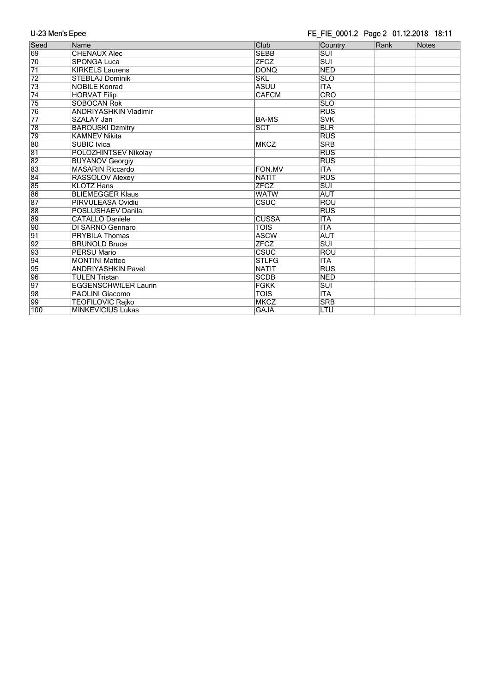## FE\_FIE\_0001.2 Page 2 01.12.2018 18:11

| Seed            | Name                         | Club         | Country                 | Rank | Notes |
|-----------------|------------------------------|--------------|-------------------------|------|-------|
| 69              | <b>CHENAUX Alec</b>          | <b>SEBB</b>  | <b>SUI</b>              |      |       |
| 70              | <b>SPONGA Luca</b>           | <b>ZFCZ</b>  | $\overline{\text{SUI}}$ |      |       |
| $\overline{71}$ | <b>KIRKELS Laurens</b>       | <b>DONQ</b>  | <b>NED</b>              |      |       |
| 72              | <b>STEBLAJ Dominik</b>       | <b>SKL</b>   | <b>SLO</b>              |      |       |
| 73              | <b>NOBILE Konrad</b>         | <b>ASUU</b>  | <b>ITA</b>              |      |       |
| $\overline{74}$ | <b>HORVAT Filip</b>          | <b>CAFCM</b> | <b>CRO</b>              |      |       |
| 75              | <b>SOBOCAN Rok</b>           |              | <b>SLO</b>              |      |       |
| 76              | <b>ANDRIYASHKIN Vladimir</b> |              | <b>RUS</b>              |      |       |
| $\overline{77}$ | SZALAY Jan                   | <b>BA-MS</b> | <b>SVK</b>              |      |       |
| 78              | <b>BAROUSKI Dzmitry</b>      | SCT          | <b>BLR</b>              |      |       |
| 79              | <b>KAMNEV Nikita</b>         |              | <b>RUS</b>              |      |       |
| 80              | <b>SUBIC Ivica</b>           | <b>MKCZ</b>  | <b>SRB</b>              |      |       |
| $\overline{81}$ | <b>POLOZHINTSEV Nikolay</b>  |              | <b>RUS</b>              |      |       |
| 82              | <b>BUYANOV Georgiy</b>       |              | <b>RUS</b>              |      |       |
| 83              | <b>MASARIN Riccardo</b>      | FON.MV       | <b>ITA</b>              |      |       |
| $\overline{84}$ | RASSOLOV Alexey              | <b>NATIT</b> | RUS                     |      |       |
| 85              | <b>KLOTZ Hans</b>            | <b>ZFCZ</b>  | <b>SUI</b>              |      |       |
| 86              | <b>BLIEMEGGER Klaus</b>      | <b>WATW</b>  | <b>AUT</b>              |      |       |
| $\overline{87}$ | PIRVULEASA Ovidiu            | CSUC         | <b>ROU</b>              |      |       |
| 88              | POSLUSHAEV Danila            |              | <b>RUS</b>              |      |       |
| 89              | <b>CATALLO Daniele</b>       | <b>CUSSA</b> | <b>ITA</b>              |      |       |
| $\overline{90}$ | DI SARNO Gennaro             | <b>TOIS</b>  | <b>ITA</b>              |      |       |
| $\overline{91}$ | <b>PRYBILA Thomas</b>        | <b>ASCW</b>  | <b>AUT</b>              |      |       |
| $\overline{92}$ | <b>BRUNOLD Bruce</b>         | <b>ZFCZ</b>  | $\overline{\text{SUI}}$ |      |       |
| 93              | <b>PERSU Mario</b>           | <b>CSUC</b>  | <b>ROU</b>              |      |       |
| $\overline{94}$ | <b>MONTINI Matteo</b>        | <b>STLFG</b> | <b>ITA</b>              |      |       |
| 95              | <b>ANDRIYASHKIN Pavel</b>    | <b>NATIT</b> | <b>RUS</b>              |      |       |
| 96              | <b>TULEN Tristan</b>         | <b>SCDB</b>  | <b>NED</b>              |      |       |
| $\overline{97}$ | <b>EGGENSCHWILER Laurin</b>  | <b>FGKK</b>  | $\overline{\text{SUI}}$ |      |       |
| 98              | <b>PAOLINI Giacomo</b>       | <b>TOIS</b>  | <b>ITA</b>              |      |       |
| 99              | <b>TEOFILOVIC Rajko</b>      | <b>MKCZ</b>  | <b>SRB</b>              |      |       |
| 100             | <b>MINKEVICIUS Lukas</b>     | <b>GAJA</b>  | LTU                     |      |       |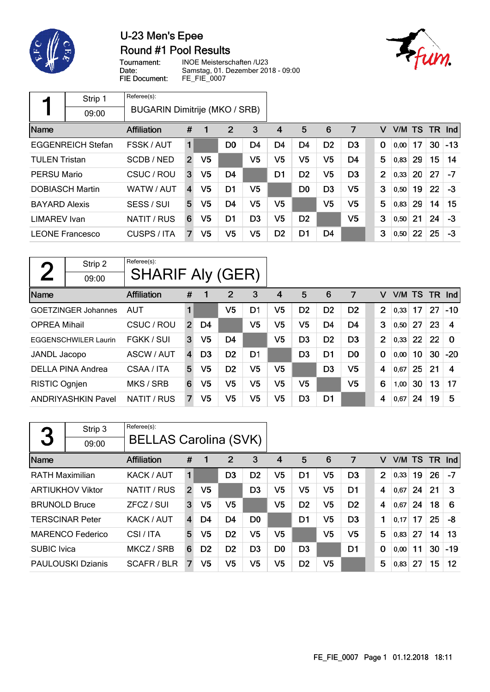

## U-23 Men's Epee Round #1 Pool Results



Tournament: Date: FIE Document:

INOE Meisterschaften /U23 Samstag, 01. Dezember 2018 - 09:00 FE\_FIE\_0007

|                                  | Strip 1                  | Referee(s):                   |                |    |                |                |                |                |                |                |                |      |       |        |           |       |
|----------------------------------|--------------------------|-------------------------------|----------------|----|----------------|----------------|----------------|----------------|----------------|----------------|----------------|------|-------|--------|-----------|-------|
|                                  | 09:00                    | BUGARIN Dimitrije (MKO / SRB) |                |    |                |                |                |                |                |                |                |      |       |        |           |       |
| Name                             |                          | Affiliation                   | #              | 1  | 2              | 3              | 4              | 5              | 6              | 7              | v              |      |       | V/M TS | <b>TR</b> | Ind   |
|                                  | <b>EGGENREICH Stefan</b> | FSSK / AUT                    | 1              |    | D <sub>0</sub> | D4             | D4             | D4             | D <sub>2</sub> | D <sub>3</sub> | 0              |      | 0,00  | 17     | 30        | $-13$ |
| SCDB/NED<br><b>TULEN Tristan</b> |                          | $\overline{2}$                | V <sub>5</sub> |    | V5             | V5             | V <sub>5</sub> | V <sub>5</sub> | D <sub>4</sub> |                | 5              | 0,83 | 29    | 15     | 14        |       |
| <b>PERSU Mario</b>               |                          | CSUC / ROU                    | 3              | V5 | D <sub>4</sub> |                | D <sub>1</sub> | D <sub>2</sub> | V5             | D <sub>3</sub> | $\overline{2}$ |      | 0,33  | 20     | 27        | $-7$  |
|                                  | <b>DOBIASCH Martin</b>   | WATW / AUT                    | $\overline{4}$ | V5 | D <sub>1</sub> | V5             |                | D <sub>0</sub> | D <sub>3</sub> | V5             | 3              |      | 0,50  | 19     | 22        | $-3$  |
| <b>BAYARD Alexis</b>             |                          | SESS / SUI                    | 5              | V5 | D <sub>4</sub> | V5             | V5             |                | V5             | V5             | 5              |      | 0,83  | 29     | 14        | 15    |
| LIMAREV Ivan                     |                          | NATIT / RUS                   | 6              | V5 | D <sub>1</sub> | D <sub>3</sub> | V5             | D <sub>2</sub> |                | V5             | 3              |      | 0,50  | 21     | 24        | $-3$  |
|                                  | <b>LEONE Francesco</b>   | CUSPS / ITA                   | 7              | V5 | V5             | V5             | D <sub>2</sub> | D <sub>1</sub> | D4             |                | 3              |      | 0, 50 | 22     | 25        | $-3$  |

| $\mathbf{\Omega}$    | Strip 2                     | Referee(s):             |                |                |                |                |    |                |                |                |                |      |           |           |            |
|----------------------|-----------------------------|-------------------------|----------------|----------------|----------------|----------------|----|----------------|----------------|----------------|----------------|------|-----------|-----------|------------|
|                      | 09:00                       | <b>SHARIF Aly (GER)</b> |                |                |                |                |    |                |                |                |                |      |           |           |            |
| Name                 |                             | <b>Affiliation</b>      | #              | 1              | $\overline{2}$ | 3              | 4  | 5              | 6              | 7              | v              | V/M  | <b>TS</b> | <b>TR</b> | <b>Ind</b> |
|                      | <b>GOETZINGER Johannes</b>  | <b>AUT</b>              | 1              |                | V <sub>5</sub> | D1             | V5 | D <sub>2</sub> | D <sub>2</sub> | D <sub>2</sub> | $\overline{2}$ | 0,33 | 17        | 27        | $-10$      |
| <b>OPREA Mihail</b>  |                             | CSUC / ROU              | $\overline{2}$ | D4             |                | V5             | V5 | V5             | D4             | D4             | 3              | 0,50 | 27        | 23        | 4          |
|                      | <b>EGGENSCHWILER Laurin</b> | FGKK / SUI              | 3              | V <sub>5</sub> | D <sub>4</sub> |                | V5 | D <sub>3</sub> | D <sub>2</sub> | D <sub>3</sub> | $\overline{2}$ | 0,33 | 22        | 22        | $\Omega$   |
| JANDL Jacopo         |                             | ASCW / AUT              | $\overline{4}$ | D <sub>3</sub> | D <sub>2</sub> | D <sub>1</sub> |    | D <sub>3</sub> | D <sub>1</sub> | D <sub>0</sub> | $\mathbf 0$    | 0,00 | 10        | 30        | $-20$      |
|                      | DELLA PINA Andrea           | CSAA / ITA              | 5              | V <sub>5</sub> | D <sub>2</sub> | V5             | V5 |                | D <sub>3</sub> | V <sub>5</sub> | 4              | 0,67 | 25        | 21        | 4          |
| <b>RISTIC Ognjen</b> |                             | MKS / SRB               | 6              | V5             | V <sub>5</sub> | V5             | V5 | V5             |                | V5             | 6              | 1,00 | 30        | 13        | 17         |
|                      | <b>ANDRIYASHKIN Pavel</b>   | NATIT / RUS             | 7              | V5             | V5             | V5             | V5 | D <sub>3</sub> | D1             |                | 4              | 0,67 | 24        | 19        | 5          |

| 3                       | Strip 3                  | Referee(s):                  |                |                |                |                |                |                |                |                |                |        |    |     |            |
|-------------------------|--------------------------|------------------------------|----------------|----------------|----------------|----------------|----------------|----------------|----------------|----------------|----------------|--------|----|-----|------------|
|                         | 09:00                    | <b>BELLAS Carolina (SVK)</b> |                |                |                |                |                |                |                |                |                |        |    |     |            |
| Name                    |                          | Affiliation                  | #              | 1              | 2              | 3              | 4              | 5              | 6              | 7              | v              | V/M TS |    | TR. | <b>Ind</b> |
| <b>RATH Maximilian</b>  |                          | KACK / AUT                   | 1              |                | D <sub>3</sub> | D <sub>2</sub> | V5             | D <sub>1</sub> | V5             | D <sub>3</sub> | $\overline{2}$ | 0,33   | 19 | 26  | $-7$       |
| <b>ARTIUKHOV Viktor</b> |                          | NATIT / RUS                  | $\overline{2}$ | V <sub>5</sub> |                | D <sub>3</sub> | V5             | V <sub>5</sub> | V5             | D <sub>1</sub> | 4              | 0.67   | 24 | 21  | 3          |
| <b>BRUNOLD Bruce</b>    |                          | ZFCZ / SUI                   | 3              | V5             | V5             |                | V5             | D <sub>2</sub> | V5             | D <sub>2</sub> | 4              | 0.67   | 24 | 18  | 6          |
|                         | <b>TERSCINAR Peter</b>   | KACK / AUT                   | 4              | D4             | D <sub>4</sub> | D <sub>0</sub> |                | D <sub>1</sub> | V5             | D <sub>3</sub> | 1              | 0,17   | 17 | 25  | -8         |
|                         | <b>MARENCO Federico</b>  | CSI/ITA                      | 5              | V5             | D <sub>2</sub> | V5             | V5             |                | V <sub>5</sub> | V <sub>5</sub> | 5              | 0,83   | 27 | 14  | 13         |
| <b>SUBIC</b> Ivica      |                          | MKCZ / SRB                   | 6              | D <sub>2</sub> | D <sub>2</sub> | D <sub>3</sub> | D <sub>0</sub> | D <sub>3</sub> |                | D <sub>1</sub> | 0              | 0,00   | 11 | 30  | $-19$      |
|                         | <b>PAULOUSKI Dzianis</b> | <b>SCAFR/BLR</b>             | 7              | V5             | V5             | V5             | V5             | D <sub>2</sub> | V5             |                | 5              | 0,83   | 27 | 15  | 12         |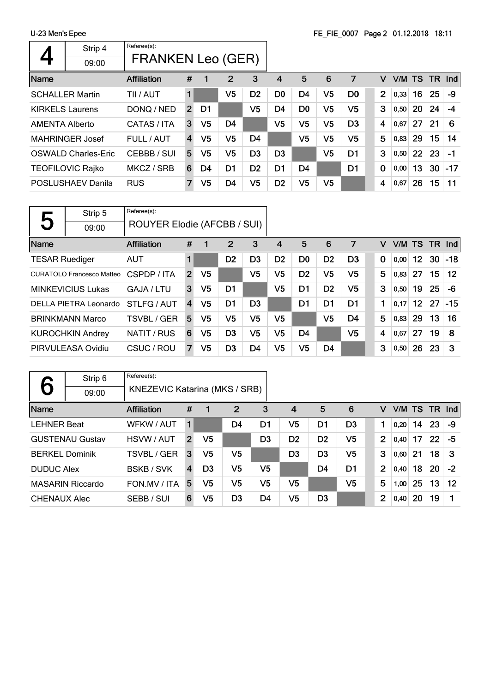| Referee(s):<br>Strip 4<br><b>FRANKEN Leo (GER)</b><br>09:00<br>5<br>7<br>#<br>2<br>3<br>6<br>V/M TS TR<br><b>Affiliation</b><br>$\mathbf 1$<br>4<br>v<br>V <sub>5</sub><br>V <sub>5</sub><br>$\overline{2}$<br>25<br><b>SCHALLER Martin</b><br>D <sub>2</sub><br>D0<br>D <sub>4</sub><br>D <sub>0</sub><br>16<br>TII / AUT<br>1<br>0,33<br>V5<br>V <sub>5</sub><br>V5<br>3<br>24<br>D <sub>0</sub><br>20<br>D4<br><b>KIRKELS Laurens</b><br>DONQ / NED<br>D1<br>0,50<br>$\overline{2}$<br>V <sub>5</sub><br>V <sub>5</sub><br>V <sub>5</sub><br>V5<br>D <sub>3</sub><br>27<br>21<br>D <sub>4</sub><br>4<br>CATAS / ITA<br>6<br><b>AMENTA Alberto</b><br>3<br>0,67<br>5<br>V5<br>V5<br>V5<br>V5<br>15 <sub>1</sub><br>V <sub>5</sub><br>D4<br>FULL / AUT<br>29<br><b>MAHRINGER Josef</b><br>0,83<br>4<br>V <sub>5</sub><br>3<br>V <sub>5</sub><br>V5<br>D <sub>3</sub><br>D <sub>3</sub><br>D <sub>1</sub><br>22<br>23<br>5<br>$-1$<br><b>OSWALD Charles-Eric</b><br>CEBBB / SUI<br>0,50<br>MKCZ / SRB<br>D <sub>2</sub><br>D <sub>4</sub><br>13<br>30<br><b>TEOFILOVIC Rajko</b><br>D1<br>D1<br>D1<br>$\bf{0}$<br>D4<br>6<br>0,00<br>V5<br>V <sub>5</sub><br>15<br>V <sub>5</sub><br>V5<br>D <sub>4</sub><br>D <sub>2</sub><br>4<br>26<br>POSLUSHAEV Danila<br>7<br><b>RUS</b><br>0,67 | <u>, 20 monto apoo</u> |  |  |  |  |  |  |  |  |  |       |
|----------------------------------------------------------------------------------------------------------------------------------------------------------------------------------------------------------------------------------------------------------------------------------------------------------------------------------------------------------------------------------------------------------------------------------------------------------------------------------------------------------------------------------------------------------------------------------------------------------------------------------------------------------------------------------------------------------------------------------------------------------------------------------------------------------------------------------------------------------------------------------------------------------------------------------------------------------------------------------------------------------------------------------------------------------------------------------------------------------------------------------------------------------------------------------------------------------------------------------------------------------------------------------------|------------------------|--|--|--|--|--|--|--|--|--|-------|
|                                                                                                                                                                                                                                                                                                                                                                                                                                                                                                                                                                                                                                                                                                                                                                                                                                                                                                                                                                                                                                                                                                                                                                                                                                                                                        |                        |  |  |  |  |  |  |  |  |  |       |
|                                                                                                                                                                                                                                                                                                                                                                                                                                                                                                                                                                                                                                                                                                                                                                                                                                                                                                                                                                                                                                                                                                                                                                                                                                                                                        |                        |  |  |  |  |  |  |  |  |  |       |
|                                                                                                                                                                                                                                                                                                                                                                                                                                                                                                                                                                                                                                                                                                                                                                                                                                                                                                                                                                                                                                                                                                                                                                                                                                                                                        | Name                   |  |  |  |  |  |  |  |  |  | Ind   |
|                                                                                                                                                                                                                                                                                                                                                                                                                                                                                                                                                                                                                                                                                                                                                                                                                                                                                                                                                                                                                                                                                                                                                                                                                                                                                        |                        |  |  |  |  |  |  |  |  |  | $-9$  |
|                                                                                                                                                                                                                                                                                                                                                                                                                                                                                                                                                                                                                                                                                                                                                                                                                                                                                                                                                                                                                                                                                                                                                                                                                                                                                        |                        |  |  |  |  |  |  |  |  |  | -4    |
|                                                                                                                                                                                                                                                                                                                                                                                                                                                                                                                                                                                                                                                                                                                                                                                                                                                                                                                                                                                                                                                                                                                                                                                                                                                                                        |                        |  |  |  |  |  |  |  |  |  |       |
|                                                                                                                                                                                                                                                                                                                                                                                                                                                                                                                                                                                                                                                                                                                                                                                                                                                                                                                                                                                                                                                                                                                                                                                                                                                                                        |                        |  |  |  |  |  |  |  |  |  | 14    |
|                                                                                                                                                                                                                                                                                                                                                                                                                                                                                                                                                                                                                                                                                                                                                                                                                                                                                                                                                                                                                                                                                                                                                                                                                                                                                        |                        |  |  |  |  |  |  |  |  |  |       |
|                                                                                                                                                                                                                                                                                                                                                                                                                                                                                                                                                                                                                                                                                                                                                                                                                                                                                                                                                                                                                                                                                                                                                                                                                                                                                        |                        |  |  |  |  |  |  |  |  |  | $-17$ |
|                                                                                                                                                                                                                                                                                                                                                                                                                                                                                                                                                                                                                                                                                                                                                                                                                                                                                                                                                                                                                                                                                                                                                                                                                                                                                        |                        |  |  |  |  |  |  |  |  |  | 11    |

|                                  | Strip 5                  | Referee(s):                 |                |                |                |                |                |                |                |                |             |           |                 |    |            |
|----------------------------------|--------------------------|-----------------------------|----------------|----------------|----------------|----------------|----------------|----------------|----------------|----------------|-------------|-----------|-----------------|----|------------|
| 5                                | 09:00                    | ROUYER Elodie (AFCBB / SUI) |                |                |                |                |                |                |                |                |             |           |                 |    |            |
| Name                             |                          | <b>Affiliation</b>          | #              | 1              | 2              | 3              | 4              | 5              | 6              | 7              | v           | V/M TS TR |                 |    | <b>Ind</b> |
| <b>TESAR Ruediger</b>            |                          | <b>AUT</b>                  | 1              |                | D <sub>2</sub> | D <sub>3</sub> | D <sub>2</sub> | D <sub>0</sub> | D <sub>2</sub> | D <sub>3</sub> | $\mathbf 0$ | 0,00      | 12 <sup>°</sup> | 30 | $-18$      |
| <b>CURATOLO Francesco Matteo</b> |                          | CSPDP / ITA                 | $\overline{2}$ | V <sub>5</sub> |                | V5             | V5             | D <sub>2</sub> | V5             | V5             | 5           | 0,83      | 27              | 15 | 12         |
|                                  | <b>MINKEVICIUS Lukas</b> | GAJA / LTU                  | 3              | V5             | D <sub>1</sub> |                | V5             | D <sub>1</sub> | D <sub>2</sub> | V <sub>5</sub> | 3           | 0,50      | 19              | 25 | -6         |
|                                  | DELLA PIETRA Leonardo    | STLFG/AUT                   | $\overline{4}$ | V5             | D <sub>1</sub> | D <sub>3</sub> |                | D1             | D <sub>1</sub> | D <sub>1</sub> | 1           | 0.17      | 12              | 27 | $-15$      |
|                                  | <b>BRINKMANN Marco</b>   | TSVBL / GER                 | 5              | V5             | V5             | V5             | V5             |                | V <sub>5</sub> | D <sub>4</sub> | 5           | 0,83      | 29              | 13 | 16         |
|                                  | <b>KUROCHKIN Andrey</b>  | NATIT / RUS                 | 6              | V5             | D <sub>3</sub> | V5             | V5             | D <sub>4</sub> |                | V5             | 4           | 0,67      | 27              | 19 | 8          |
|                                  | PIRVULEASA Ovidiu        | CSUC / ROU                  | 7              | V5             | D <sub>3</sub> | D4             | V5             | V <sub>5</sub> | D <sub>4</sub> |                | 3           | 0,50      | 26              | 23 | 3          |

|                        | Strip 6                 | Referee(s):                   |                |                |                |                |                |                |                |                |           |    |    |               |
|------------------------|-------------------------|-------------------------------|----------------|----------------|----------------|----------------|----------------|----------------|----------------|----------------|-----------|----|----|---------------|
|                        | 09:00                   | KNEZEVIC Katarina (MKS / SRB) |                |                |                |                |                |                |                |                |           |    |    |               |
| Name                   |                         | <b>Affiliation</b>            | #              |                | $\overline{2}$ | 3              | $\overline{4}$ | 5              | 6              | v              | V/M TS TR |    |    | $\lfloor$ Ind |
| <b>LEHNER Beat</b>     |                         | WFKW / AUT                    | 1              |                | D <sub>4</sub> | D <sub>1</sub> | V <sub>5</sub> | D <sub>1</sub> | D <sub>3</sub> |                | 0.20      | 14 | 23 | -9            |
| <b>GUSTENAU Gustav</b> |                         | HSVW / AUT                    | $\overline{2}$ | V5             |                | D3             | D <sub>2</sub> | D <sub>2</sub> | V5             | $\overline{2}$ | 0.40      | 17 | 22 | -5            |
| <b>BERKEL Dominik</b>  |                         | <b>TSVBL / GER</b>            | 3              | V5             | V5             |                | D <sub>3</sub> | D <sub>3</sub> | V <sub>5</sub> | 3              | 0.60      | 21 | 18 | -3            |
| <b>DUDUC Alex</b>      |                         | <b>BSKB/SVK</b>               | $\overline{4}$ | D <sub>3</sub> | V5             | V5             |                | D4             | D <sub>1</sub> | 2              | 0.40      | 18 | 20 | $-2$          |
|                        | <b>MASARIN Riccardo</b> | FON.MV / ITA                  | 5              | V5             | V5             | V5             | V5             |                | V5             | 5              | 1,00      | 25 | 13 | 12            |
| <b>CHENAUX Alec</b>    |                         | SEBB / SUI                    | 6              | V5             | D3             | D4             | V5             | D <sub>3</sub> |                | 2              | 0,40      | 20 | 19 |               |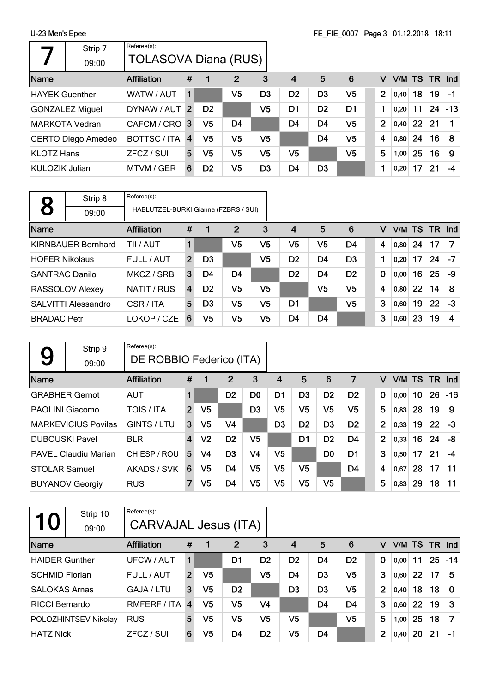|                        | Strip 7               | Referee(s):                 |                |                |                |                |                |                |                |                |        |    |    |          |
|------------------------|-----------------------|-----------------------------|----------------|----------------|----------------|----------------|----------------|----------------|----------------|----------------|--------|----|----|----------|
|                        | 09:00                 | <b>TOLASOVA Diana (RUS)</b> |                |                |                |                |                |                |                |                |        |    |    |          |
| Name                   |                       | Affiliation                 | #              |                | $\overline{2}$ | 3              | $\overline{4}$ | 5              | 6              | v              | V/M TS |    |    | $TR$ Ind |
| <b>HAYEK Guenther</b>  |                       | WATW / AUT                  | 1              |                | V5             | D3             | D <sub>2</sub> | D <sub>3</sub> | V <sub>5</sub> | $\overline{2}$ | 0.40   | 18 | 19 | -1       |
| <b>GONZALEZ Miguel</b> |                       | DYNAW / AUT                 | 2              | D <sub>2</sub> |                | V5             | D1             | D <sub>2</sub> | D <sub>1</sub> |                | 0,20   | 11 | 24 | $-13$    |
|                        | <b>MARKOTA Vedran</b> | CAFCM / CRO 3               |                | V5             | D <sub>4</sub> |                | D <sub>4</sub> | D <sub>4</sub> | V <sub>5</sub> | $\overline{2}$ | 0.40   | 22 | 21 |          |
|                        | CERTO Diego Amedeo    | <b>BOTTSC/ITA</b>           | $\overline{4}$ | V <sub>5</sub> | V5             | V5             |                | D4             | V5             | 4              | 0,80   | 24 | 16 | -8       |
| <b>KLOTZ Hans</b>      |                       | ZFCZ / SUI                  | 5              | V5             | V5             | V5             | V5             |                | V5             | 5              | 1,00   | 25 | 16 | -9       |
| KULOZIK Julian         |                       | MTVM / GER                  | 6              | D <sub>2</sub> | V5             | D <sub>3</sub> | D4             | D <sub>3</sub> |                |                | 0,20   | 17 | 21 | -4       |

|                       | Strip 8                   | Referee(s):                          |                |                |                |                |                |                |                |             |        |    |    |          |
|-----------------------|---------------------------|--------------------------------------|----------------|----------------|----------------|----------------|----------------|----------------|----------------|-------------|--------|----|----|----------|
| 8                     | 09:00                     | HABLUTZEL-BURKI Gianna (FZBRS / SUI) |                |                |                |                |                |                |                |             |        |    |    |          |
| Name                  |                           | <b>Affiliation</b>                   | #              |                | 2              | 3              | $\overline{4}$ | 5              | 6              | v           | V/M TS |    |    | $TR$ Ind |
|                       | <b>KIRNBAUER Bernhard</b> | TII / AUT                            |                |                | V5             | V5             | V5             | V5             | D <sub>4</sub> | 4           | 0.80   | 24 | 17 | - 7      |
| <b>HOFER Nikolaus</b> |                           | FULL / AUT                           | $\overline{2}$ | D <sub>3</sub> |                | V5             | D <sub>2</sub> | D <sub>4</sub> | D <sub>3</sub> |             | 0,20   | 17 | 24 | $-7$     |
| <b>SANTRAC Danilo</b> |                           | MKCZ / SRB                           | 3              | D4             | D4             |                | D <sub>2</sub> | D <sub>4</sub> | D <sub>2</sub> | $\mathbf 0$ | 0,00   | 16 | 25 | -9       |
|                       | RASSOLOV Alexey           | NATIT / RUS                          | 4              | D <sub>2</sub> | V <sub>5</sub> | V <sub>5</sub> |                | V <sub>5</sub> | V <sub>5</sub> | 4           | 0,80   | 22 | 14 | 8        |
|                       | SALVITTI Alessandro       | CSR / ITA                            | 5              | D <sub>3</sub> | V <sub>5</sub> | V <sub>5</sub> | D1             |                | V <sub>5</sub> | 3           | 0,60   | 19 | 22 | $-3$     |
| <b>BRADAC</b> Petr    |                           | LOKOP / CZE                          | 6              | V5             | V <sub>5</sub> | V5             | D <sub>4</sub> | D <sub>4</sub> |                | 3           | 0,60   | 23 | 19 | 4        |

|                       | Strip 9                     | Referee(s):              |                |                |                |                |                |                |                |                |                |        |    |     |            |
|-----------------------|-----------------------------|--------------------------|----------------|----------------|----------------|----------------|----------------|----------------|----------------|----------------|----------------|--------|----|-----|------------|
| 9                     | 09:00                       | DE ROBBIO Federico (ITA) |                |                |                |                |                |                |                |                |                |        |    |     |            |
| Name                  |                             | <b>Affiliation</b>       | #              | 1              | 2              | 3              | 4              | 5              | 6              | 7              | v              | V/M TS |    | TR. | <b>Ind</b> |
|                       | <b>GRABHER Gernot</b>       | <b>AUT</b>               | 1              |                | D <sub>2</sub> | D0             | D1             | D <sub>3</sub> | D <sub>2</sub> | D <sub>2</sub> | $\mathbf 0$    | 0,00   | 10 | 26  | $-16$      |
| PAOLINI Giacomo       |                             | TOIS / ITA               | $\overline{2}$ | V <sub>5</sub> |                | D <sub>3</sub> | V5             | V5             | V <sub>5</sub> | V5             | 5              | 0,83   | 28 | 19  | 9          |
|                       | <b>MARKEVICIUS Povilas</b>  | GINTS / LTU              | 3              | V5             | V <sub>4</sub> |                | D <sub>3</sub> | D <sub>2</sub> | D <sub>3</sub> | D <sub>2</sub> | 2              | 0,33   | 19 | 22  | $-3$       |
| <b>DUBOUSKI Pavel</b> |                             | <b>BLR</b>               | 4              | V <sub>2</sub> | D <sub>2</sub> | V5             |                | D <sub>1</sub> | D <sub>2</sub> | D <sub>4</sub> | $\overline{2}$ | 0,33   | 16 | 24  | -8         |
|                       | <b>PAVEL Claudiu Marian</b> | CHIESP / ROU             | 5              | V4             | D <sub>3</sub> | V4             | V5             |                | D <sub>0</sub> | D1             | 3              | 0,50   | 17 | 21  | -4         |
| <b>STOLAR Samuel</b>  |                             | AKADS / SVK              | 6              | V5             | D4             | V5             | V5             | V5             |                | D <sub>4</sub> | 4              | 0,67   | 28 | 17  | 11         |
|                       | <b>BUYANOV Georgiy</b>      | <b>RUS</b>               | 7              | V5             | D4             | V5             | V5             | V5             | V <sub>5</sub> |                | 5              | 0,83   | 29 | 18  | 11         |

| 10                    | Strip 10<br>09:00    | Referee(s):<br><b>CARVAJAL Jesus (ITA)</b> |                |                |                |                |                |                |                |                |      |        |           |            |
|-----------------------|----------------------|--------------------------------------------|----------------|----------------|----------------|----------------|----------------|----------------|----------------|----------------|------|--------|-----------|------------|
| Name                  |                      | <b>Affiliation</b>                         | #              |                | 2              | 3              | 4              | 5              | 6              | v              |      | V/M TS | <b>TR</b> | <b>Ind</b> |
| <b>HAIDER Gunther</b> |                      | UFCW / AUT                                 |                |                | D1             | D <sub>2</sub> | D <sub>2</sub> | D <sub>4</sub> | D <sub>2</sub> | 0              | 0.00 | 11     | 25        | $-14$      |
| <b>SCHMID Florian</b> |                      | FULL / AUT                                 | $\overline{2}$ | V <sub>5</sub> |                | V5             | D4             | D <sub>3</sub> | V5             | 3              | 0,60 | 22     | 17        | 5          |
| <b>SALOKAS Arnas</b>  |                      | GAJA / LTU                                 | 3              | V <sub>5</sub> | D <sub>2</sub> |                | D <sub>3</sub> | D <sub>3</sub> | V <sub>5</sub> | $\overline{2}$ | 0,40 | 18     | 18        | $\Omega$   |
| <b>RICCI Bernardo</b> |                      | RMFERF / ITA                               | $\overline{4}$ | V <sub>5</sub> | V5             | V <sub>4</sub> |                | D4             | D <sub>4</sub> | 3              | 0,60 | 22     | 19        | 3          |
|                       | POLOZHINTSEV Nikolay | <b>RUS</b>                                 | 5              | V5             | V5             | V5             | V5             |                | V <sub>5</sub> | 5              | 1,00 | 25     | 18        | 7          |
| <b>HATZ Nick</b>      |                      | ZFCZ / SUI                                 | 6              | V <sub>5</sub> | D4             | D <sub>2</sub> | V5             | D4             |                | $\overline{2}$ | 0,40 | 20     | 21        | $-1$       |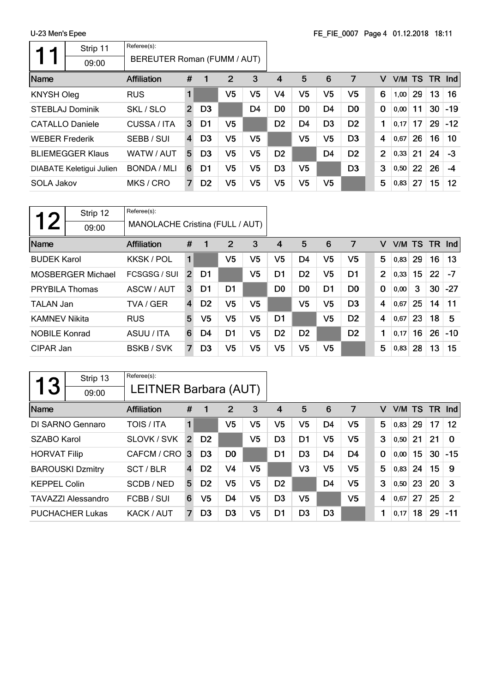r

|                        | Strip 11                 | Referee(s):                 |                         |                |                |                |                |                |                |                |                |        |    |     |       |
|------------------------|--------------------------|-----------------------------|-------------------------|----------------|----------------|----------------|----------------|----------------|----------------|----------------|----------------|--------|----|-----|-------|
|                        | 09:00                    | BEREUTER Roman (FUMM / AUT) |                         |                |                |                |                |                |                |                |                |        |    |     |       |
| Name                   |                          | <b>Affiliation</b>          | #                       | 1              | $\overline{2}$ | 3              | 4              | 5              | 6              | 7              | v              | V/M TS |    | TR. | Ind   |
| <b>KNYSH Oleg</b>      |                          | <b>RUS</b>                  |                         |                | V5             | V <sub>5</sub> | V4             | V <sub>5</sub> | V <sub>5</sub> | V <sub>5</sub> | 6              | 1,00   | 29 | 13  | 16    |
|                        | <b>STEBLAJ Dominik</b>   | SKL / SLO                   | $\overline{2}$          | D <sub>3</sub> |                | D <sub>4</sub> | D <sub>0</sub> | D <sub>0</sub> | D <sub>4</sub> | D <sub>0</sub> | 0              | 0,00   | 11 | 30  | $-19$ |
| <b>CATALLO Daniele</b> |                          | CUSSA / ITA                 | 3                       | D1             | V5             |                | D <sub>2</sub> | D4             | D <sub>3</sub> | D <sub>2</sub> | 1              | 0,17   | 17 | 29  | $-12$ |
| <b>WEBER Frederik</b>  |                          | SEBB / SUI                  | $\overline{\mathbf{4}}$ | D <sub>3</sub> | V5             | V5             |                | V5             | V5             | D <sub>3</sub> | 4              | 0.67   | 26 | 16  | 10    |
|                        | <b>BLIEMEGGER Klaus</b>  | WATW / AUT                  | 5                       | D <sub>3</sub> | V5             | V5             | D <sub>2</sub> |                | D <sub>4</sub> | D <sub>2</sub> | $\overline{2}$ | 0,33   | 21 | 24  | $-3$  |
|                        | DIABATE Keletigui Julien | BONDA / MLI                 | 6                       | D1             | V5             | V5             | D <sub>3</sub> | V5             |                | D <sub>3</sub> | 3              | 0,50   | 22 | 26  | $-4$  |
| SOLA Jakov             |                          | MKS / CRO                   | 7                       | D <sub>2</sub> | V5             | V5             | V5             | V5             | V5             |                | 5              | 0,83   | 27 | 15  | 12    |

| 1 つ                   | Strip 12                 | Referee(s):                     |                |                |                |    |                |                |                |                |                |        |    |           |       |
|-----------------------|--------------------------|---------------------------------|----------------|----------------|----------------|----|----------------|----------------|----------------|----------------|----------------|--------|----|-----------|-------|
|                       | 09:00                    | MANOLACHE Cristina (FULL / AUT) |                |                |                |    |                |                |                |                |                |        |    |           |       |
| Name                  |                          | <b>Affiliation</b>              | #              | 1              | $\overline{2}$ | 3  | 4              | 5              | 6              | 7              | v              | V/M TS |    | <b>TR</b> | Ind   |
| <b>BUDEK Karol</b>    |                          | <b>KKSK / POL</b>               | 1              |                | V <sub>5</sub> | V5 | V5             | D <sub>4</sub> | V <sub>5</sub> | V5             | 5              | 0.83   | 29 | 16        | 13    |
|                       | <b>MOSBERGER Michael</b> | FCSGSG / SUI                    | 2              | D1             |                | V5 | D <sub>1</sub> | D <sub>2</sub> | V <sub>5</sub> | D <sub>1</sub> | $\overline{2}$ | 0,33   | 15 | 22        | $-7$  |
| <b>PRYBILA Thomas</b> |                          | ASCW / AUT                      | 3              | D1             | D <sub>1</sub> |    | D <sub>0</sub> | D <sub>0</sub> | D1             | D <sub>0</sub> | $\mathbf 0$    | 0,00   | 3  | 30        | $-27$ |
| <b>TALAN Jan</b>      |                          | TVA / GER                       | $\overline{4}$ | D <sub>2</sub> | V <sub>5</sub> | V5 |                | V <sub>5</sub> | V <sub>5</sub> | D <sub>3</sub> | 4              | 0,67   | 25 | 14        | 11    |
| <b>KAMNEV Nikita</b>  |                          | <b>RUS</b>                      | 5              | V5             | V <sub>5</sub> | V5 | D <sub>1</sub> |                | V <sub>5</sub> | D <sub>2</sub> | 4              | 0,67   | 23 | 18        | 5     |
| <b>NOBILE Konrad</b>  |                          | ASUU / ITA                      | 6              | D4             | D <sub>1</sub> | V5 | D <sub>2</sub> | D <sub>2</sub> |                | D <sub>2</sub> | 1              | 0,17   | 16 | 26        | $-10$ |
| CIPAR Jan             |                          | <b>BSKB/SVK</b>                 | 7              | D <sub>3</sub> | V <sub>5</sub> | V5 | V <sub>5</sub> | V <sub>5</sub> | V <sub>5</sub> |                | 5              | 0,83   | 28 | 13        | 15    |

| 13                  | Strip 13                  | Referee(s):           |                |                |                |    |                |                |                |                |   |      |           |           |                   |
|---------------------|---------------------------|-----------------------|----------------|----------------|----------------|----|----------------|----------------|----------------|----------------|---|------|-----------|-----------|-------------------|
|                     | 09:00                     | LEITNER Barbara (AUT) |                |                |                |    |                |                |                |                |   |      |           |           |                   |
| Name                |                           | <b>Affiliation</b>    | #              | 1              | 2              | 3  | 4              | 5              | 6              | 7              | v | V/M  | <b>TS</b> | <b>TR</b> | Ind               |
|                     | DI SARNO Gennaro          | <b>TOIS / ITA</b>     | 1              |                | V5             | V5 | V5             | V5             | D4             | V5             | 5 | 0,83 | 29        | 17        | $12 \overline{ }$ |
| SZABO Karol         |                           | SLOVK / SVK           | $\overline{2}$ | D <sub>2</sub> |                | V5 | D3             | D1             | V <sub>5</sub> | V5             | 3 | 0,50 | 21        | 21        | $\Omega$          |
| <b>HORVAT Filip</b> |                           | CAFCM / CRO           | 3              | D <sub>3</sub> | D <sub>0</sub> |    | D1             | D <sub>3</sub> | D4             | D4             | 0 | 0,00 | 15        | 30        | $-15$             |
|                     | <b>BAROUSKI Dzmitry</b>   | SCT / BLR             | 4              | D <sub>2</sub> | V4             | V5 |                | V <sub>3</sub> | V5             | V5             | 5 | 0,83 | 24        | 15        | -9                |
| <b>KEPPEL Colin</b> |                           | SCDB/NED              | 5              | D <sub>2</sub> | V5             | V5 | D <sub>2</sub> |                | D <sub>4</sub> | V <sub>5</sub> | 3 | 0,50 | 23        | 20        | 3                 |
|                     | <b>TAVAZZI Alessandro</b> | FCBB / SUI            | 6              | V5             | D4             | V5 | D3             | V <sub>5</sub> |                | V5             | 4 | 0,67 | 27        | 25        | 2                 |
|                     | <b>PUCHACHER Lukas</b>    | KACK / AUT            | 7              | D3             | D <sub>3</sub> | V5 | D <sub>1</sub> | D <sub>3</sub> | D3             |                |   | 0,17 | 18        | 29        | $-11$             |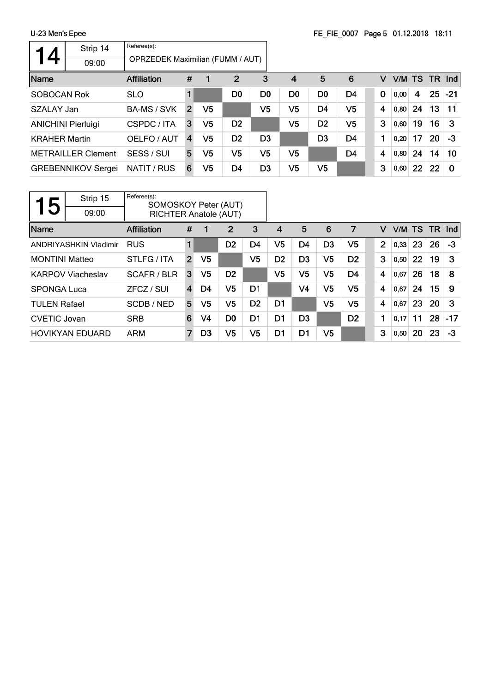|                      | Strip 14                  | Referee(s):                             |                |                |                |                |                |                |                |             |        |    |    |          |
|----------------------|---------------------------|-----------------------------------------|----------------|----------------|----------------|----------------|----------------|----------------|----------------|-------------|--------|----|----|----------|
| 14                   | 09:00                     | <b>OPRZEDEK Maximilian (FUMM / AUT)</b> |                |                |                |                |                |                |                |             |        |    |    |          |
| Name                 |                           | Affiliation                             | #              |                | $\overline{2}$ | 3              | $\overline{4}$ | 5              | 6              | v           | V/M TS |    |    | $TR$ Ind |
| <b>SOBOCAN Rok</b>   |                           | <b>SLO</b>                              |                |                | D <sub>0</sub> | D <sub>0</sub> | D <sub>0</sub> | D <sub>0</sub> | D <sub>4</sub> | $\mathbf 0$ | 0,00   | 4  | 25 | $ -21$   |
| SZALAY Jan           |                           | <b>BA-MS / SVK</b>                      | 2              | V <sub>5</sub> |                | V5             | V5             | D <sub>4</sub> | V <sub>5</sub> | 4           | 0,80   | 24 | 13 | 11       |
|                      | <b>ANICHINI Pierluigi</b> | CSPDC / ITA                             | 3              | V <sub>5</sub> | D <sub>2</sub> |                | V5             | D <sub>2</sub> | V <sub>5</sub> | 3           | 0,60   | 19 | 16 | -3       |
| <b>KRAHER Martin</b> |                           | OELFO / AUT                             | $\overline{4}$ | V <sub>5</sub> | D <sub>2</sub> | D <sub>3</sub> |                | D <sub>3</sub> | D <sub>4</sub> |             | 0.20   | 17 | 20 | -3       |
|                      | <b>METRAILLER Clement</b> | SESS / SUI                              | 5.             | V5             | V5             | V5             | V5             |                | D <sub>4</sub> | 4           | 0,80   | 24 | 14 | 10       |
|                      | <b>GREBENNIKOV Sergei</b> | NATIT / RUS                             | 6              | V <sub>5</sub> | D4             | D <sub>3</sub> | V5             | V <sub>5</sub> |                | 3           | 0,60   | 22 | 22 | $\Omega$ |

| 5                     | Strip 15<br>09:00            | Referee(s):<br>SOMOSKOY Peter (AUT)<br><b>RICHTER Anatole (AUT)</b> |                |                |                |                |                |                |                |                |                |      |           |        |       |
|-----------------------|------------------------------|---------------------------------------------------------------------|----------------|----------------|----------------|----------------|----------------|----------------|----------------|----------------|----------------|------|-----------|--------|-------|
| Name                  |                              | <b>Affiliation</b>                                                  | #              |                | 2              | 3              | 4              | 5              | 6              | 7              | v              | V/M  | <b>TS</b> | TR Ind |       |
|                       | <b>ANDRIYASHKIN Vladimir</b> | <b>RUS</b>                                                          | 1              |                | D <sub>2</sub> | D4             | V5             | D <sub>4</sub> | D <sub>3</sub> | V5             | $\overline{2}$ | 0,33 | 23        | 26     | $-3$  |
| <b>MONTINI Matteo</b> |                              | STLFG/ITA                                                           | $\overline{2}$ | V <sub>5</sub> |                | V5             | D <sub>2</sub> | D <sub>3</sub> | V5             | D <sub>2</sub> | 3              | 0,50 | 22        | 19     | 3     |
|                       | <b>KARPOV Viacheslav</b>     | SCAFR/BLR                                                           | 3              | V5             | D <sub>2</sub> |                | V5             | V5             | V5             | D4             | 4              | 0,67 | 26        | 18     | 8     |
| <b>SPONGA Luca</b>    |                              | ZFCZ / SUI                                                          | 4              | D4             | V <sub>5</sub> | D1             |                | V4             | V5             | V5             | 4              | 0,67 | 24        | 15     | 9     |
| <b>TULEN Rafael</b>   |                              | SCDB/NED                                                            | 5              | V5             | V5             | D <sub>2</sub> | D1             |                | V5             | V5             | 4              | 0,67 | 23        | 20     | 3     |
| <b>CVETIC Jovan</b>   |                              | <b>SRB</b>                                                          | 6              | V4             | D <sub>0</sub> | D1             | D <sub>1</sub> | D <sub>3</sub> |                | D <sub>2</sub> | 1              | 0.17 | 11        | 28     | $-17$ |
|                       | <b>HOVIKYAN EDUARD</b>       | <b>ARM</b>                                                          | 7              | D <sub>3</sub> | V5             | V <sub>5</sub> | D1             | D1             | V5             |                | 3              | 0,50 | 20        | 23     | -3    |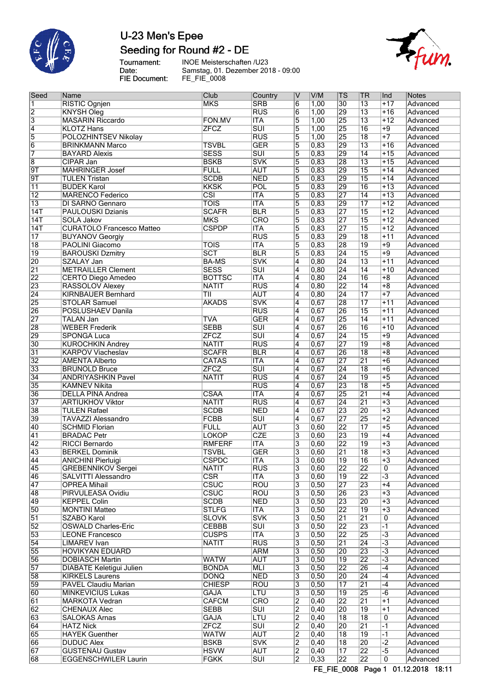

# U-23 Men's Epee Seeding for Round #2 - DE

Tournament:<br>Date: FIE Document:

INOE Meisterschaften /U23 Samstag, 01. Dezember 2018 - 09:00 FE\_FIE\_0008



| Seed                                  | Name                             | Club                     | Country                 | V              | V/M            | <b>TS</b>       | ∣TR             | Ind             | <b>Notes</b> |
|---------------------------------------|----------------------------------|--------------------------|-------------------------|----------------|----------------|-----------------|-----------------|-----------------|--------------|
| $\overline{1}$                        | <b>RISTIC Ognjen</b>             | <b>MKS</b>               | <b>SRB</b>              | $\overline{6}$ | 1,00           | $\overline{30}$ | $\overline{13}$ | $+17$           | Advanced     |
| $\overline{2}$                        | <b>KNYSH Oleg</b>                |                          | $\overline{\text{RUS}}$ | 6              | 1,00           | 29              | $\overline{13}$ | $+16$           | Advanced     |
| $\overline{3}$                        | <b>MASARIN Riccardo</b>          | FON.MV                   | <b>ITA</b>              | 5              | 1,00           | 25              | $\overline{13}$ | $+12$           | Advanced     |
|                                       | <b>KLOTZ Hans</b>                | <b>ZFCZ</b>              | $\overline{\text{SUI}}$ | $\overline{5}$ | 1,00           | 25              | 16              | $+9$            | Advanced     |
| $\frac{4}{5}$                         | <b>POLOZHINTSEV Nikolay</b>      |                          | RUS                     | $\overline{5}$ | 1,00           | 25              | $\overline{18}$ | $+7$            | Advanced     |
| $\overline{6}$                        | <b>BRINKMANN Marco</b>           | <b>TSVBL</b>             | <b>GER</b>              | 5              | 0,83           | 29              | $\overline{13}$ | $+16$           | Advanced     |
| $\overline{7}$                        |                                  | <b>SESS</b>              | $\overline{\text{SUI}}$ | $\overline{5}$ | 0,83           | 29              | $\overline{14}$ | $+15$           |              |
|                                       | <b>BAYARD Alexis</b>             |                          |                         |                |                |                 |                 |                 | Advanced     |
| $\overline{8}$                        | CIPAR Jan                        | <b>BSKB</b>              | <b>SVK</b>              | $\overline{5}$ | 0,83           | 28              | $\overline{13}$ | $+15$           | Advanced     |
| $\overline{\mathsf{9T}}$              | <b>MAHRINGER Josef</b>           | <b>FULL</b>              | <b>AUT</b>              | $\overline{5}$ | 0,83           | 29              | $\overline{15}$ | $+14$           | Advanced     |
| $\overline{9T}$                       | <b>TULEN Tristan</b>             | <b>SCDB</b>              | <b>NED</b>              | $\overline{5}$ | 0,83           | 29              | $\overline{15}$ | $+14$           | Advanced     |
| $\overline{11}$                       | <b>BUDEK Karol</b>               | <b>KKSK</b>              | POL                     | 5              | 0,83           | 29              | 16              | $+13$           | Advanced     |
| $\overline{12}$                       | <b>MARENCO Federico</b>          | $\overline{\text{CSI}}$  | <b>ITA</b>              | 5              | 0,83           | 27              | $\overline{14}$ | $+13$           | Advanced     |
| $\overline{13}$                       | <b>DI SARNO Gennaro</b>          | $\overline{\text{TOIS}}$ | <b>ITA</b>              | $\overline{5}$ | 0,83           | 29              | $\overline{17}$ | $+12$           | Advanced     |
| $\overline{14T}$                      | <b>PAULOUSKI Dzianis</b>         | <b>SCAFR</b>             | <b>BLR</b>              | $\overline{5}$ | 0,83           | 27              | 15              | $+12$           | Advanced     |
| 14T                                   | <b>SOLA Jakov</b>                | <b>MKS</b>               | <b>CRO</b>              | $\overline{5}$ | 0,83           | 27              | $\overline{15}$ | $+12$           | Advanced     |
| $\overline{14T}$                      | <b>CURATOLO Francesco Matteo</b> | <b>CSPDP</b>             | <b>ITA</b>              | $\overline{5}$ | 0,83           | 27              | 15              | $+12$           | Advanced     |
| $\overline{17}$                       | <b>BUYANOV Georgiy</b>           |                          | RUS                     | $\overline{5}$ | 0,83           | 29              | 18              | $+11$           | Advanced     |
| $\overline{18}$                       |                                  | <b>TOIS</b>              | $\overline{\text{ITA}}$ | $\overline{5}$ | $\sqrt{0,83}$  | 28              | 19              | $\overline{+9}$ | Advanced     |
|                                       | PAOLINI Giacomo                  |                          |                         |                |                |                 |                 |                 |              |
| $\overline{19}$                       | <b>BAROUSKI Dzmitry</b>          | SCT                      | <b>BLR</b>              | 5              | 0,83           | $\overline{24}$ | 15              | $+9$            | Advanced     |
| 20                                    | <b>SZALAY Jan</b>                | <b>BA-MS</b>             | <b>SVK</b>              | 4              | 0,80           | 24              | $\overline{13}$ | $+11$           | Advanced     |
| $\overline{21}$                       | <b>METRAILLER Clement</b>        | <b>SESS</b>              | $\overline{\text{SUI}}$ | $\overline{4}$ | 0, 80          | $\overline{24}$ | $\overline{14}$ | $+10$           | Advanced     |
| $\overline{22}$                       | <b>CERTO Diego Amedeo</b>        | <b>BOTTSC</b>            | <b>ITA</b>              | $\overline{4}$ | 0, 80          | $\overline{24}$ | 16              | $+8$            | Advanced     |
| 23                                    | RASSOLOV Alexey                  | <b>NATIT</b>             | RUS                     | 4              | 0,80           | 22              | $\overline{14}$ | $+8$            | Advanced     |
| $\overline{24}$                       | <b>KIRNBAUER Bernhard</b>        | ТII                      | <b>AUT</b>              | 4              | 0,80           | $\overline{24}$ | $\overline{17}$ | $+7$            | Advanced     |
| 25                                    | <b>STOLAR Samuel</b>             | <b>AKADS</b>             | <b>SVK</b>              | $\overline{4}$ | 0,67           | 28              | $\overline{17}$ | $+11$           | Advanced     |
| 26                                    | POSLUSHAEV Danila                |                          | <b>RUS</b>              | 4              | 0,67           | 26              | 15              | $+11$           | Advanced     |
| $\overline{27}$                       | <b>TALAN Jan</b>                 | <b>TVA</b>               | <b>GER</b>              | 4              | 0,67           | 25              | $\overline{14}$ | $+11$           | Advanced     |
| 28                                    | <b>WEBER Frederik</b>            | <b>SEBB</b>              | $\overline{\text{SUI}}$ | $\overline{4}$ | 0,67           | 26              | 16              | $+10$           | Advanced     |
|                                       |                                  |                          |                         |                |                |                 |                 |                 |              |
| 29                                    | <b>SPONGA Luca</b>               | <b>ZFCZ</b>              | $\overline{\text{SUI}}$ | $\overline{4}$ | 0,67           | 24              | 15              | $+9$            | Advanced     |
| 30                                    | <b>KUROCHKIN Andrey</b>          | <b>NATIT</b>             | RUS                     | 4              | 0,67           | 27              | 19              | $+8$            | Advanced     |
| $\overline{31}$                       | <b>KARPOV Viacheslav</b>         | <b>SCAFR</b>             | <b>BLR</b>              | $\overline{4}$ | 0,67           | 26              | $\overline{18}$ | $+8$            | Advanced     |
| $\overline{32}$                       | <b>AMENTA Alberto</b>            | <b>CATAS</b>             | <b>ITA</b>              | $\overline{4}$ | 0,67           | 27              | $\overline{21}$ | $\overline{+6}$ | Advanced     |
| 33                                    | <b>BRUNOLD Bruce</b>             | <b>ZFCZ</b>              | $\overline{\text{SUI}}$ | 4              | 0,67           | $\overline{24}$ | 18              | $\overline{+6}$ | Advanced     |
| $\overline{34}$                       | <b>ANDRIYASHKIN Pavel</b>        | <b>NATIT</b>             | $\overline{\text{RUS}}$ | $\overline{4}$ | 0,67           | $\overline{24}$ | $\overline{19}$ | $\overline{+5}$ | Advanced     |
| 35                                    | <b>KAMNEV Nikita</b>             |                          | $\overline{RUS}$        | $\overline{4}$ | 0,67           | 23              | $\overline{18}$ | $\overline{+5}$ | Advanced     |
| 36                                    | <b>DELLA PINA Andrea</b>         | CSAA                     | <b>ITA</b>              | $\overline{4}$ | 0,67           | 25              | $\overline{21}$ | $+4$            | Advanced     |
| 37                                    | <b>ARTIUKHOV Viktor</b>          | <b>NATIT</b>             | $\overline{RUS}$        | $\overline{4}$ | 0,67           | $\overline{24}$ | $\overline{21}$ | $+3$            | Advanced     |
| 38                                    | <b>TULEN Rafael</b>              | <b>SCDB</b>              | <b>NED</b>              | 4              | 0,67           | 23              | 20              | $+3$            | Advanced     |
| 39                                    | <b>TAVAZZI Alessandro</b>        | <b>FCBB</b>              | $\overline{\text{SUI}}$ | 4              | 0,67           | 27              | 25              | $\overline{+2}$ |              |
|                                       |                                  |                          |                         |                |                |                 |                 |                 | Advanced     |
| 40                                    | <b>SCHMID Florian</b>            | <b>FULL</b>              | <b>AUT</b>              | $\overline{3}$ | 0,60           | 22              | $\overline{17}$ | $+5$            | Advanced     |
| $\overline{41}$                       | <b>BRADAC Petr</b>               | <b>LOKOP</b>             | <b>CZE</b>              | 3              | 0,60           | 23              | 19              | $+4$            | Advanced     |
| $\overline{42}$                       | <b>RICCI Bernardo</b>            | <b>RMFERF</b>            | <b>ITA</b>              | 3              | 0,60           | 22              | 19              | $\overline{+3}$ | Advanced     |
| 43                                    | <b>BERKEL Dominik</b>            | <b>TSVBL</b>             | <b>GER</b>              | $\overline{3}$ | 0,60           | $\overline{21}$ | 18              | $+3$            | Advanced     |
| $\frac{\overline{44}}{\overline{45}}$ | <b>ANICHINI Pierluigi</b>        | <b>CSPDC</b>             | <b>ITA</b>              | 3              | 0,60           | $\overline{19}$ | $\overline{16}$ | $+3$            | Advanced     |
|                                       | <b>GREBENNIKOV Sergei</b>        | NATIT                    | <b>RUS</b>              | 3              | 0,60           | $\overline{22}$ | 22              | 0               | Advanced     |
| 46                                    | SALVITTI Alessandro              | $\overline{\text{CSR}}$  | <b>ITA</b>              | 3              | 0,60           | 19              | 22              | $\overline{-3}$ | Advanced     |
| $\overline{47}$                       | <b>OPREA Mihail</b>              | <b>CSUC</b>              | <b>ROU</b>              | 3              | 0, 50          | 27              | 23              | $+4$            | Advanced     |
| $\overline{48}$                       | PIRVULEASA Ovidiu                | <b>CSUC</b>              | <b>ROU</b>              | 3              | 0, 50          | 26              | 23              | $+3$            | Advanced     |
| 49                                    | <b>KEPPEL Colin</b>              | <b>SCDB</b>              | <b>NED</b>              | 3              | 0, 50          | 23              | 20              | $+3$            | Advanced     |
| 50                                    | <b>MONTINI Matteo</b>            | <b>STLFG</b>             | <b>ITA</b>              | $\overline{3}$ | 0, 50          | 22              | $\overline{19}$ | $+3$            | Advanced     |
|                                       | <b>SZABO Karol</b>               |                          |                         |                |                |                 | $\overline{21}$ |                 |              |
| $\overline{51}$                       |                                  | <b>SLOVK</b>             | <b>SVK</b>              | 3              | 0, 50          | $\overline{21}$ |                 | 0               | Advanced     |
| $\overline{52}$                       | <b>OSWALD Charles-Eric</b>       | <b>CEBBB</b>             | SUI                     | 3              | 0, 50          | $\overline{22}$ | $\overline{23}$ | $\overline{-1}$ | Advanced     |
| 53                                    | <b>LEONE Francesco</b>           | <b>CUSPS</b>             | <b>ITA</b>              | 3              | 0,50           | 22              | 25              | $\overline{-3}$ | Advanced     |
| $\overline{54}$                       | LIMAREV Ivan                     | <b>NATIT</b>             | <b>RUS</b>              | $\overline{3}$ | 0, 50          | $\overline{21}$ | $\overline{24}$ | $-3$            | Advanced     |
| 55                                    | <b>HOVIKYAN EDUARD</b>           |                          | <b>ARM</b>              | 3              | 0, 50          | 20              | 23              | $\overline{-3}$ | Advanced     |
| 56                                    | <b>DOBIASCH Martin</b>           | <b>WATW</b>              | <b>AUT</b>              | 3              | 0, 50          | 19              | 22              | $\overline{-3}$ | Advanced     |
| $\overline{57}$                       | <b>DIABATE Keletigui Julien</b>  | <b>BONDA</b>             | MLI                     | 3              | 0, 50          | $\overline{22}$ | 26              | $-4$            | Advanced     |
| 58                                    | <b>KIRKELS Laurens</b>           | <b>DONQ</b>              | <b>NED</b>              | 3              | 0, 50          | 20              | $\overline{24}$ | $-4$            | Advanced     |
| 59                                    | PAVEL Claudiu Marian             | <b>CHIESP</b>            | <b>ROU</b>              | 3              | 0, 50          | $\overline{17}$ | $\overline{21}$ | $-4$            | Advanced     |
| 60                                    | <b>MINKEVICIUS Lukas</b>         | <b>GAJA</b>              | LTU                     | 3              | 0, 50          | 19              | 25              | -6              | Advanced     |
| 61                                    | <b>MARKOTA Vedran</b>            | <b>CAFCM</b>             | <b>CRO</b>              | 2              | $ 0,40\rangle$ | $\overline{22}$ | $\overline{21}$ | $+1$            | Advanced     |
|                                       |                                  |                          |                         |                |                |                 |                 |                 |              |
| $\overline{62}$                       | <b>CHENAUX Alec</b>              | <b>SEBB</b>              | SUI                     | $\overline{2}$ | $ 0,40\rangle$ | 20              | 19              | $+1$            | Advanced     |
| 63                                    | <b>SALOKAS Arnas</b>             | <b>GAJA</b>              | LTU                     | $\overline{2}$ | $ 0,40\rangle$ | $\overline{18}$ | $\overline{18}$ | 0               | Advanced     |
| 64                                    | <b>HATZ Nick</b>                 | <b>ZFCZ</b>              | $\overline{\text{SUI}}$ | 2              | $ 0,40\rangle$ | 20              | $\overline{21}$ | $\overline{-1}$ | Advanced     |
| 65                                    | <b>HAYEK Guenther</b>            | <b>WATW</b>              | <b>AUT</b>              | $\overline{2}$ | 0,40           | 18              | $\overline{19}$ | $-1$            | Advanced     |
| 66                                    | <b>DUDUC Alex</b>                | <b>BSKB</b>              | <b>SVK</b>              | $\overline{2}$ | $ 0,40\rangle$ | $\overline{18}$ | 20              | $-2$            | Advanced     |
| $\overline{67}$                       | <b>GUSTENAU Gustav</b>           | <b>HSVW</b>              | <b>AUT</b>              | $\overline{2}$ | $ 0,40\rangle$ | $\overline{17}$ | $\overline{22}$ | $-5$            | Advanced     |
| 68                                    | <b>EGGENSCHWILER Laurin</b>      | <b>FGKK</b>              | $\overline{\text{SUI}}$ | $\overline{2}$ | 0,33           | $\overline{22}$ | $\overline{22}$ | 0               | Advanced     |
|                                       |                                  |                          |                         |                |                |                 |                 |                 |              |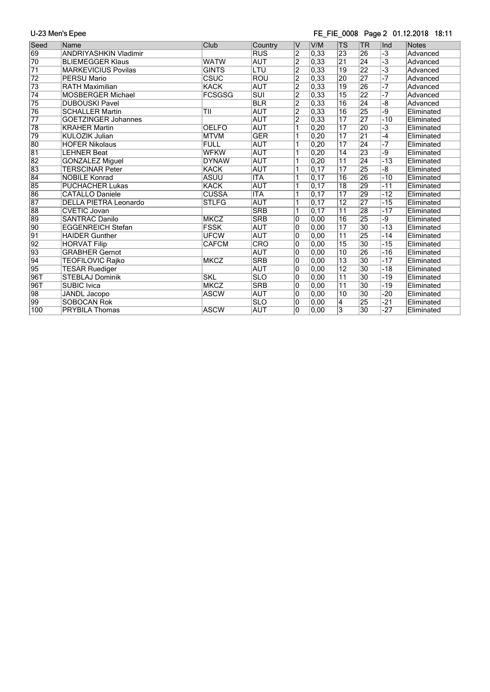### FE\_FIE\_0008 Page 2 01.12.2018 18:11

| Seed            | Name                         | Club          | Country           | $\vee$         | V/M               | <b>TS</b>       | <b>TR</b>       | Ind                  | <b>Notes</b> |
|-----------------|------------------------------|---------------|-------------------|----------------|-------------------|-----------------|-----------------|----------------------|--------------|
| 69              | <b>ANDRIYASHKIN Vladimir</b> |               | <b>RUS</b>        | $\overline{2}$ | 0,33              | 23              | 26              | $\overline{-3}$      | Advanced     |
| $\overline{70}$ | <b>BLIEMEGGER Klaus</b>      | <b>WATW</b>   | <b>AUT</b>        | $\overline{2}$ | 0,33              | $\overline{21}$ | $\overline{24}$ | $\overline{\cdot 3}$ | Advanced     |
| $\overline{71}$ | <b>MARKEVICIUS Povilas</b>   | <b>GINTS</b>  | LTU               | $\overline{2}$ | 0,33              | $\overline{19}$ | $\overline{22}$ | $\overline{\cdot 3}$ | Advanced     |
| $\overline{72}$ | <b>PERSU Mario</b>           | CSUC          | <b>ROU</b>        | $\overline{2}$ | 0.33              | 20              | 27              | $-7$                 | Advanced     |
| 73              | <b>RATH Maximilian</b>       | <b>KACK</b>   | <b>AUT</b>        | $\overline{2}$ | 0,33              | $\overline{19}$ | 26              | $-7$                 | Advanced     |
| $\overline{74}$ | <b>MOSBERGER Michael</b>     | <b>FCSGSG</b> | $\overline{S}$ UI | $\overline{2}$ | 0,33              | $\overline{15}$ | 22              | $-7$                 | Advanced     |
| 75              | <b>DUBOUSKI Pavel</b>        |               | <b>BLR</b>        | $\overline{2}$ | 0,33              | $\overline{16}$ | $\overline{24}$ | $-\overline{8}$      | Advanced     |
| 76              | <b>SCHALLER Martin</b>       | TII           | <b>AUT</b>        | $\overline{2}$ | 0,33              | 16              | 25              | -9                   | Eliminated   |
| $\overline{77}$ | <b>GOETZINGER Johannes</b>   |               | <b>AUT</b>        | $\overline{2}$ | 0,33              | $\overline{17}$ | 27              | $-10$                | Eliminated   |
| 78              | <b>KRAHER Martin</b>         | <b>OELFO</b>  | <b>AUT</b>        | $\overline{1}$ | 0,20              | $\overline{17}$ | 20              | $\overline{-3}$      | Eliminated   |
| 79              | <b>KULOZIK Julian</b>        | <b>MTVM</b>   | <b>GER</b>        | 1              | 0,20              | $\overline{17}$ | $\overline{21}$ | -4                   | Eliminated   |
| 80              | <b>HOFER Nikolaus</b>        | <b>FULL</b>   | <b>AUT</b>        | 1              | 0,20              | $\overline{17}$ | 24              | $-7$                 | Eliminated   |
| 81              | <b>LEHNER Beat</b>           | <b>WFKW</b>   | <b>AUT</b>        | 1              | 0,20              | $\overline{14}$ | 23              | -9                   | Eliminated   |
| $\overline{82}$ | <b>GONZALEZ Miguel</b>       | <b>DYNAW</b>  | <b>AUT</b>        | 1              | 0,20              | $\overline{11}$ | $\overline{24}$ | $-13$                | Eliminated   |
| 83              | <b>TERSCINAR Peter</b>       | <b>KACK</b>   | <b>AUT</b>        | 1              | 0,17              | $\overline{17}$ | 25              | -8                   | Eliminated   |
| 84              | <b>NOBILE Konrad</b>         | <b>ASUU</b>   | <b>ITA</b>        | 1              | $\overline{0,17}$ | $\overline{16}$ | 26              | $-10$                | Eliminated   |
| 85              | <b>PUCHACHER Lukas</b>       | <b>KACK</b>   | <b>AUT</b>        | 1              | $\overline{0,17}$ | $\overline{18}$ | 29              | $-11$                | Eliminated   |
| 86              | <b>CATALLO Daniele</b>       | <b>CUSSA</b>  | <b>ITA</b>        | 1              | 0,17              | $\overline{17}$ | 29              | $-12$                | Eliminated   |
| 87              | <b>DELLA PIETRA Leonardo</b> | <b>STLFG</b>  | <b>AUT</b>        | $\overline{1}$ | 0,17              | $\overline{12}$ | $\overline{27}$ | $-15$                | Eliminated   |
| 88              | <b>CVETIC Jovan</b>          |               | <b>SRB</b>        | $\overline{1}$ | 0,17              | $\overline{11}$ | 28              | $-17$                | Eliminated   |
| 89              | <b>SANTRAC Danilo</b>        | <b>MKCZ</b>   | <b>SRB</b>        | O              | 0,00              | $\overline{16}$ | 25              | -9                   | Eliminated   |
| 90              | <b>EGGENREICH Stefan</b>     | <b>FSSK</b>   | <b>AUT</b>        | $\overline{0}$ | $\overline{0,00}$ | $\overline{17}$ | $\overline{30}$ | $-13$                | Eliminated   |
| 91              | <b>HAIDER Gunther</b>        | <b>UFCW</b>   | <b>AUT</b>        | 10             | 0,00              | $\overline{11}$ | 25              | $-14$                | Eliminated   |
| 92              | <b>HORVAT Filip</b>          | <b>CAFCM</b>  | CRO               | $\overline{0}$ | 0,00              | 15              | 30              | $-15$                | Eliminated   |
| 93              | <b>GRABHER Gernot</b>        |               | <b>AUT</b>        | O              | 0,00              | 10              | 26              | $-16$                | Eliminated   |
| 94              | TEOFILOVIC Rajko             | <b>MKCZ</b>   | <b>SRB</b>        | $\overline{0}$ | 0,00              | $\overline{13}$ | 30              | $-17$                | Eliminated   |
| 95              | <b>TESAR Ruediger</b>        |               | <b>AUT</b>        | 10             | 0,00              | $\overline{12}$ | 30              | $-18$                | Eliminated   |
| 96T             | <b>STEBLAJ Dominik</b>       | <b>SKL</b>    | <b>SLO</b>        | 0              | 0,00              | $\overline{11}$ | $\overline{30}$ | $-19$                | Eliminated   |
| 96T             | <b>SUBIC Ivica</b>           | <b>MKCZ</b>   | <b>SRB</b>        | $\overline{0}$ | 0,00              | $\overline{11}$ | $\overline{30}$ | $-19$                | Eliminated   |
| 98              | <b>JANDL</b> Jacopo          | <b>ASCW</b>   | <b>AUT</b>        | $\overline{0}$ | 0,00              | $\overline{10}$ | 30              | $-20$                | Eliminated   |
| 99              | <b>SOBOCAN Rok</b>           |               | <b>SLO</b>        | 10             | 0,00              | $\overline{4}$  | 25              | $-21$                | Eliminated   |
| 100             | PRYBILA Thomas               | <b>ASCW</b>   | <b>AUT</b>        | $\overline{0}$ | 0,00              | $\overline{3}$  | 30              | $-27$                | Eliminated   |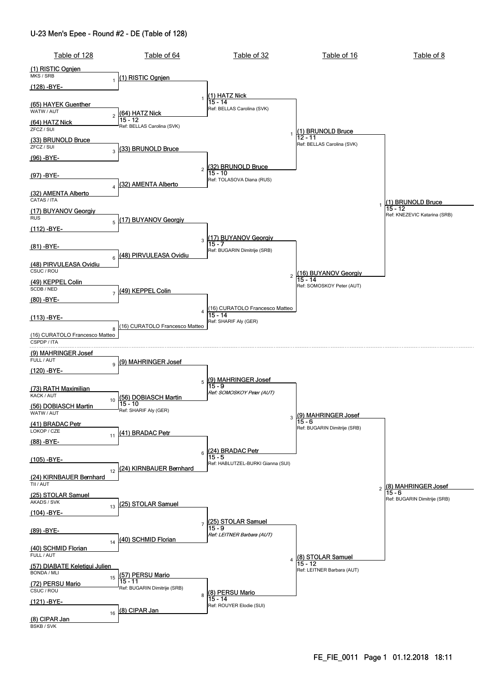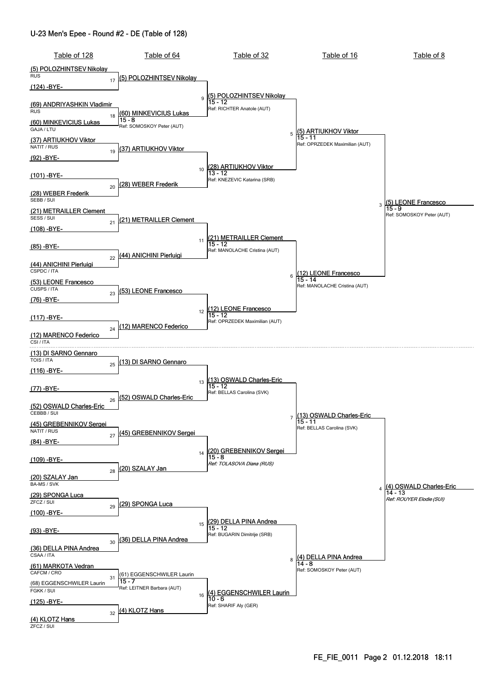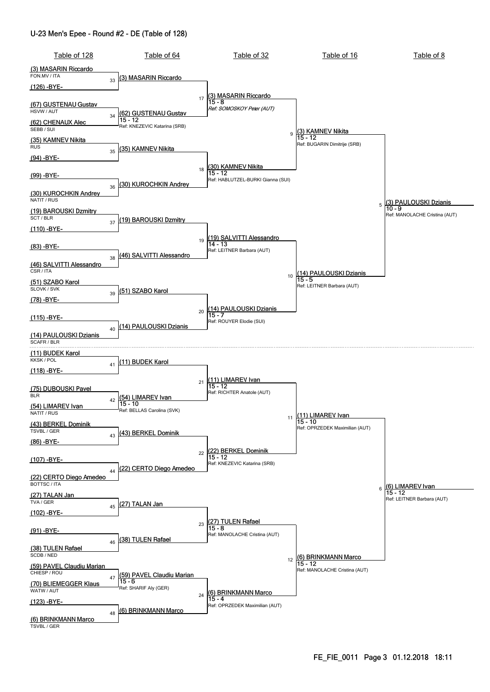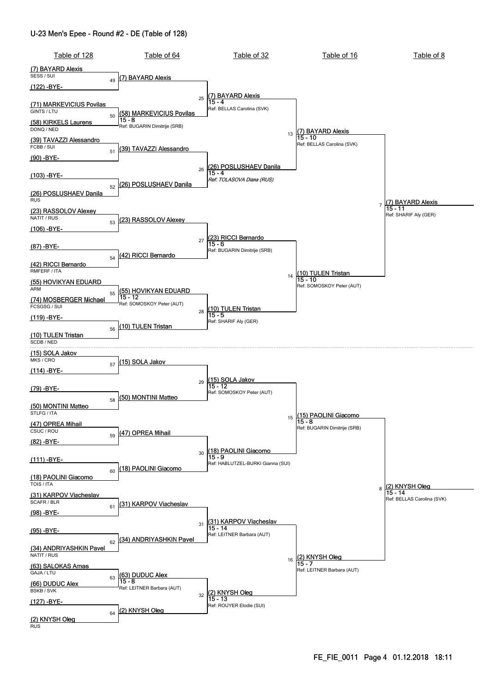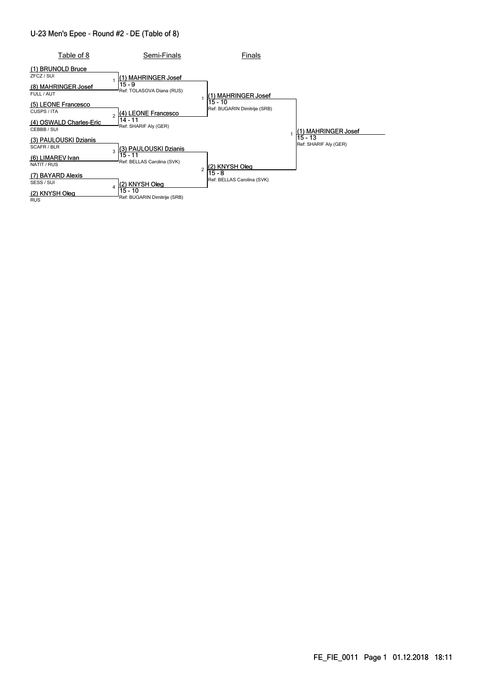| Table of 8                                                           | Semi-Finals                                                  | Finals                                  |                                  |
|----------------------------------------------------------------------|--------------------------------------------------------------|-----------------------------------------|----------------------------------|
| (1) BRUNOLD Bruce<br>ZFCZ / SUI<br>(8) MAHRINGER Josef<br>FULL / AUT | (1) MAHRINGER Josef<br>$15 - 9$<br>Ref: TOLASOVA Diana (RUS) | (1) MAHRINGER Josef                     |                                  |
| (5) LEONE Francesco<br>CUSPS / ITA                                   | (4) LEONE Francesco<br>$\mathfrak{p}$                        | 15 - 10<br>Ref: BUGARIN Dimitrije (SRB) |                                  |
| (4) OSWALD Charles-Eric<br>CEBBB / SUI                               | 14 - 11<br>Ref: SHARIF Aly (GER)                             |                                         | l(1) MAHRINGER Josef             |
| (3) PAULOUSKI Dzianis<br>SCAFR / BLR                                 | (3) PAULOUSKI Dzianis<br>3                                   |                                         | 15 - 13<br>Ref: SHARIF Aly (GER) |
| (6) LIMAREV Ivan<br>NATIT / RUS                                      | 15 - 11<br>Ref: BELLAS Carolina (SVK)<br>2                   | (2) KNYSH Oleg<br>$15 - 8$              |                                  |
| (7) BAYARD Alexis<br>SESS / SUI                                      | (2) KNYSH Oleg<br>15 - 10                                    | Ref: BELLAS Carolina (SVK)              |                                  |
| (2) KNYSH Oleg<br><b>RUS</b>                                         | Ref: BUGARIN Dimitrije (SRB)                                 |                                         |                                  |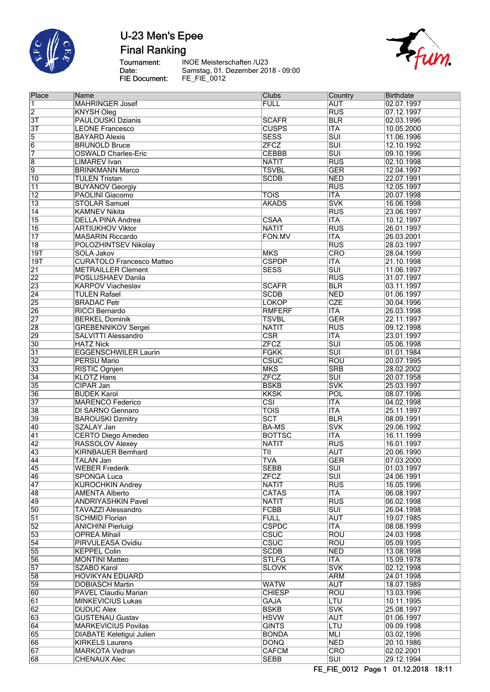

**Final Ranking** 

Tournament:<br>Date: FIE Document:

INOE Meisterschaften /U23 Samstag, 01. Dezember 2018 - 09:00<br>FE\_FIE\_0012



| Place           | Name                             | Clubs                   | Country                   | <b>Birthdate</b> |
|-----------------|----------------------------------|-------------------------|---------------------------|------------------|
| 11.             | <b>MAHRINGER Josef</b>           | <b>FULL</b>             | <b>AUT</b>                | 02.07.1997       |
| $\overline{2}$  | <b>KNYSH Oleg</b>                |                         | <b>RUS</b>                | 07.12.1997       |
| $\overline{3T}$ | <b>PAULOUSKI Dzianis</b>         | <b>SCAFR</b>            | <b>BLR</b>                | 02.03.1996       |
|                 |                                  |                         |                           |                  |
| $\overline{3T}$ | <b>LEONE Francesco</b>           | <b>CUSPS</b>            | <b>ITA</b>                | 10.05.2000       |
| $\overline{5}$  | <b>BAYARD Alexis</b>             | <b>SESS</b>             | <b>SUI</b>                | 11.06.1996       |
| $\overline{6}$  | <b>BRUNOLD Bruce</b>             | <b>ZFCZ</b>             | $\overline{\text{SUI}}$   | 12.10.1992       |
| 7               | <b>OSWALD Charles-Eric</b>       | <b>CEBBB</b>            | $\overline{\text{SUI}}$   | 09.10.1996       |
|                 |                                  |                         |                           |                  |
| $\overline{8}$  | <b>LIMAREV</b> Ivan              | <b>NATIT</b>            | <b>RUS</b>                | 02.10.1998       |
| $\overline{9}$  | <b>BRINKMANN Marco</b>           | <b>TSVBL</b>            | <b>GER</b>                | 12.04.1997       |
| 10              | <b>TULEN Tristan</b>             | <b>SCDB</b>             | <b>NED</b>                | 22.07.1991       |
| 11              | <b>BUYANOV Georgiy</b>           |                         | <b>RUS</b>                | 12.05.1997       |
| $\overline{12}$ | <b>PAOLINI Giacomo</b>           | <b>TOIS</b>             | <b>ITA</b>                | 20.07.1998       |
|                 |                                  |                         |                           |                  |
| $\overline{13}$ | <b>STOLAR Samuel</b>             | <b>AKADS</b>            | <b>SVK</b>                | 16.06.1998       |
| $\overline{14}$ | <b>KAMNEV Nikita</b>             |                         | <b>RUS</b>                | 23.06.1997       |
| 15              | <b>DELLA PINA Andrea</b>         | <b>CSAA</b>             | $\overline{\mathsf{ITA}}$ | 10.12.1997       |
| 16              | <b>ARTIUKHOV Viktor</b>          | <b>NATIT</b>            | <b>RUS</b>                | 26.01.1997       |
|                 |                                  |                         |                           |                  |
| $\overline{17}$ | <b>MASARIN Riccardo</b>          | FON.MV                  | <b>ITA</b>                | 26.03.2001       |
| $\overline{18}$ | POLOZHINTSEV Nikolay             |                         | <b>RUS</b>                | 28.03.1997       |
| 19T             | <b>SOLA Jakov</b>                | <b>MKS</b>              | CRO                       | 28.04.1999       |
| 19T             | <b>CURATOLO Francesco Matteo</b> | <b>CSPDP</b>            | <b>ITA</b>                | 21.10.1998       |
|                 |                                  |                         |                           |                  |
| $\overline{21}$ | <b>METRAILLER Clement</b>        | <b>SESS</b>             | $\overline{\text{SUI}}$   | 11.06.1997       |
| $\overline{22}$ | POSLUSHAEV Danila                |                         | <b>RUS</b>                | 31.07.1997       |
| 23              | <b>KARPOV Viacheslav</b>         | <b>SCAFR</b>            | <b>BLR</b>                | 03.11.1997       |
| $\overline{24}$ | <b>TULEN Rafael</b>              | <b>SCDB</b>             | <b>NED</b>                | 01.06.1997       |
|                 |                                  |                         |                           |                  |
| $\overline{25}$ | <b>BRADAC Petr</b>               | <b>LOKOP</b>            | <b>CZE</b>                | 30.04.1996       |
| 26              | <b>RICCI Bernardo</b>            | <b>RMFERF</b>           | <b>ITA</b>                | 26.03.1998       |
| $\overline{27}$ | <b>BERKEL Dominik</b>            | <b>TSVBL</b>            | <b>GER</b>                | 22.11.1997       |
| $\overline{28}$ | <b>GREBENNIKOV Sergei</b>        | <b>NATIT</b>            | <b>RUS</b>                | 09.12.1998       |
|                 | SALVITTI Alessandro              |                         | <b>ITA</b>                |                  |
| $\overline{29}$ |                                  | <b>CSR</b>              |                           | 23.01.1997       |
| 30              | <b>HATZ Nick</b>                 | <b>ZFCZ</b>             | $\overline{SUI}$          | 05.06.1998       |
| $\overline{31}$ | <b>EGGENSCHWILER Laurin</b>      | <b>FGKK</b>             | $\overline{\text{SUI}}$   | 01.01.1984       |
| $ 32\rangle$    | <b>PERSU Mario</b>               | CSUC                    | ROU                       | 20.07.1995       |
| 33              | <b>RISTIC Ognjen</b>             | <b>MKS</b>              | <b>SRB</b>                | 28.02.2002       |
|                 |                                  |                         |                           |                  |
| 34              | <b>KLOTZ Hans</b>                | <b>ZFCZ</b>             | $\overline{\text{s}}$ UI  | 20.07.1958       |
| 35              | CIPAR Jan                        | <b>BSKB</b>             | <b>SVK</b>                | 25.03.1997       |
| 36              | <b>BUDEK Karol</b>               | <b>KKSK</b>             | POL                       | 08.07.1996       |
| $\overline{37}$ | <b>MARENCO Federico</b>          | $\overline{\text{CSI}}$ | <b>ITA</b>                | 04.02.1998       |
|                 |                                  |                         |                           |                  |
| 38              | DI SARNO Gennaro                 | <b>TOIS</b>             | <b>ITA</b>                | 25.11.1997       |
| 39              | <b>BAROUSKI Dzmitry</b>          | SCT                     | <b>BLR</b>                | 08.09.1991       |
| 40              | <b>SZALAY Jan</b>                | <b>BA-MS</b>            | <b>SVK</b>                | 29.06.1992       |
| $\overline{41}$ | <b>CERTO Diego Amedeo</b>        | <b>BOTTSC</b>           | <b>ITA</b>                | 16.11.1999       |
| $\overline{42}$ |                                  | <b>NATIT</b>            | <b>RUS</b>                | 16.01.1997       |
|                 | RASSOLOV Alexey                  |                         |                           |                  |
| 43              | <b>KIRNBAUER Bernhard</b>        | ΤIΙ                     | <b>AUT</b>                | 20.06.1990       |
| 44              | TALAN Jan                        | <b>TVA</b>              | <b>GER</b>                | 07.03.2000       |
| 45              | <b>WEBER Frederik</b>            | <b>SEBB</b>             | $\overline{\text{SUI}}$   | 01.03.1997       |
| 46              | <b>SPONGA Luca</b>               | <b>ZFCZ</b>             | $\overline{\text{SUI}}$   | 24.06.1991       |
|                 |                                  |                         |                           |                  |
| $\overline{47}$ | <b>KUROCHKIN Andrey</b>          | <b>NATIT</b>            | <b>RUS</b>                | 16.05.1996       |
| 48              | <b>AMENTA Alberto</b>            | <b>CATAS</b>            | <b>ITA</b>                | 06.08.1997       |
| 49              | <b>ANDRIYASHKIN Pavel</b>        | <b>NATIT</b>            | <b>RUS</b>                | 06.02.1998       |
| 50              | <b>TAVAZZI Alessandro</b>        | <b>FCBB</b>             | $\overline{\text{SUI}}$   | 26.04.1998       |
|                 |                                  |                         |                           |                  |
| $\overline{51}$ | <b>SCHMID Florian</b>            | <b>FULL</b>             | <b>AUT</b>                | 19.07.1985       |
| $\overline{52}$ | <b>ANICHINI Pierluigi</b>        | <b>CSPDC</b>            | $\overline{\mathsf{ITA}}$ | 08.08.1999       |
| 53              | <b>OPREA Mihail</b>              | <b>CSUC</b>             | ROU                       | 24.03.1998       |
| $\overline{54}$ | PIRVULEASA Ovidiu                | <b>CSUC</b>             | <b>ROU</b>                | 05.09.1995       |
|                 |                                  |                         |                           |                  |
| 55              | <b>KEPPEL Colin</b>              | <b>SCDB</b>             | <b>NED</b>                | 13.08.1998       |
| 56              | <b>MONTINI Matteo</b>            | <b>STLFG</b>            | <b>ITA</b>                | 15.09.1978       |
| $\overline{57}$ | <b>SZABO Karol</b>               | <b>SLOVK</b>            | <b>SVK</b>                | 02.12.1998       |
| 58              | <b>HOVIKYAN EDUARD</b>           |                         | <b>ARM</b>                | 24.01.1998       |
|                 |                                  |                         |                           |                  |
| 59              | <b>DOBIASCH Martin</b>           | <b>WATW</b>             | <b>AUT</b>                | 18.07.1989       |
| 60              | PAVEL Claudiu Marian             | <b>CHIESP</b>           | ROU                       | 13.03.1996       |
| $\overline{61}$ | <b>MINKEVICIUS Lukas</b>         | <b>GAJA</b>             | LTU                       | 10.11.1995       |
| $\overline{62}$ | <b>DUDUC Alex</b>                | <b>BSKB</b>             | <b>SVK</b>                | 25.08.1997       |
|                 |                                  |                         |                           |                  |
| 63              | <b>GUSTENAU Gustav</b>           | <b>HSVW</b>             | <b>AUT</b>                | 01.06.1997       |
| 64              | <b>MARKEVICIUS Povilas</b>       | <b>GINTS</b>            | LTU                       | 09.09.1998       |
| 65              | <b>DIABATE Keletigui Julien</b>  | <b>BONDA</b>            | MLI                       | 03.02.1996       |
| 66              | <b>KIRKELS Laurens</b>           | <b>DONQ</b>             | <b>NED</b>                | 20.10.1986       |
|                 |                                  |                         |                           |                  |
| $\overline{67}$ | <b>MARKOTA Vedran</b>            | <b>CAFCM</b>            | <b>CRO</b>                | 02.02.2001       |
| 68              | <b>CHENAUX Alec</b>              | <b>SEBB</b>             | $\overline{\text{SUI}}$   | 29.12.1994       |
|                 |                                  |                         |                           |                  |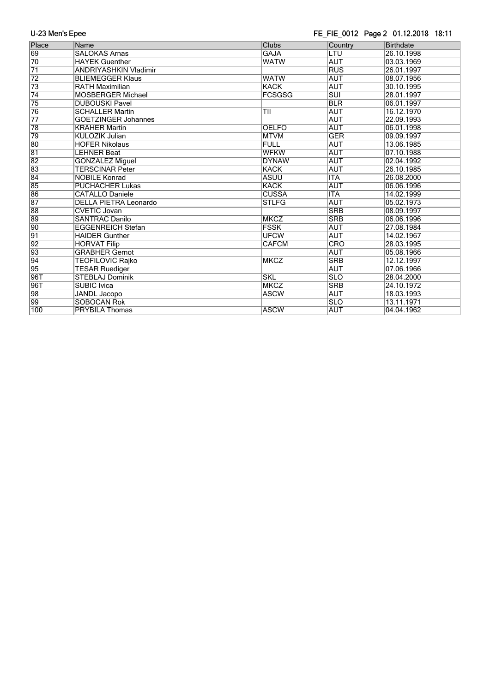### FE\_FIE\_0012 Page 2 01.12.2018 18:11

| Place           | Name                         | <b>Clubs</b>  | Country    | <b>Birthdate</b> |
|-----------------|------------------------------|---------------|------------|------------------|
| 69              | <b>SALOKAS Arnas</b>         | <b>GAJA</b>   | LTU        | 26.10.1998       |
| 70              | <b>HAYEK Guenther</b>        | <b>WATW</b>   | <b>AUT</b> | 03.03.1969       |
| $\overline{71}$ | <b>ANDRIYASHKIN Vladimir</b> |               | <b>RUS</b> | 26.01.1997       |
| $\overline{72}$ | <b>BLIEMEGGER Klaus</b>      | <b>WATW</b>   | <b>AUT</b> | 08.07.1956       |
| 73              | <b>RATH Maximilian</b>       | <b>KACK</b>   | <b>AUT</b> | 30.10.1995       |
| $\overline{74}$ | <b>MOSBERGER Michael</b>     | <b>FCSGSG</b> | <b>SUI</b> | 28.01.1997       |
| 75              | <b>DUBOUSKI Pavel</b>        |               | <b>BLR</b> | 06.01.1997       |
| 76              | <b>SCHALLER Martin</b>       | TII           | <b>AUT</b> | 16.12.1970       |
| $\overline{77}$ | <b>GOETZINGER Johannes</b>   |               | <b>AUT</b> | 22.09.1993       |
| 78              | <b>KRAHER Martin</b>         | <b>OELFO</b>  | <b>AUT</b> | 06.01.1998       |
| 79              | KULOZIK Julian               | <b>MTVM</b>   | <b>GER</b> | 09.09.1997       |
| 80              | <b>HOFER Nikolaus</b>        | <b>FULL</b>   | <b>AUT</b> | 13.06.1985       |
| 81              | <b>LEHNER Beat</b>           | <b>WFKW</b>   | <b>AUT</b> | 07.10.1988       |
| $\overline{82}$ | <b>GONZALEZ Miguel</b>       | <b>DYNAW</b>  | <b>AUT</b> | 02.04.1992       |
| 83              | <b>TERSCINAR Peter</b>       | <b>KACK</b>   | <b>AUT</b> | 26.10.1985       |
| $\overline{84}$ | <b>NOBILE Konrad</b>         | <b>ASUU</b>   | <b>ITA</b> | 26.08.2000       |
| 85              | <b>PUCHACHER Lukas</b>       | <b>KACK</b>   | <b>AUT</b> | 06.06.1996       |
| 86              | <b>CATALLO Daniele</b>       | <b>CUSSA</b>  | <b>ITA</b> | 14.02.1999       |
| $\overline{87}$ | <b>DELLA PIETRA Leonardo</b> | <b>STLFG</b>  | <b>AUT</b> | 05.02.1973       |
| 88              | <b>CVETIC Jovan</b>          |               | <b>SRB</b> | 08.09.1997       |
| 89              | <b>SANTRAC Danilo</b>        | <b>MKCZ</b>   | <b>SRB</b> | 06.06.1996       |
| $\overline{90}$ | <b>EGGENREICH Stefan</b>     | <b>FSSK</b>   | <b>AUT</b> | 27.08.1984       |
| $\overline{91}$ | <b>HAIDER Gunther</b>        | <b>UFCW</b>   | <b>AUT</b> | 14.02.1967       |
| $\overline{92}$ | <b>HORVAT Filip</b>          | <b>CAFCM</b>  | CRO        | 28.03.1995       |
| $\overline{93}$ | <b>GRABHER Gernot</b>        |               | <b>AUT</b> | 05.08.1966       |
| 94              | TEOFILOVIC Rajko             | <b>MKCZ</b>   | <b>SRB</b> | 12.12.1997       |
| 95              | <b>TESAR Ruediger</b>        |               | <b>AUT</b> | 07.06.1966       |
| 96T             | <b>STEBLAJ Dominik</b>       | <b>SKL</b>    | <b>SLO</b> | 28.04.2000       |
| 96T             | <b>SUBIC Ivica</b>           | <b>MKCZ</b>   | <b>SRB</b> | 24.10.1972       |
| $\overline{98}$ | JANDL Jacopo                 | <b>ASCW</b>   | <b>AUT</b> | 18.03.1993       |
| 99              | <b>SOBOCAN Rok</b>           |               | <b>SLO</b> | 13.11.1971       |
| 100             | <b>PRYBILA Thomas</b>        | <b>ASCW</b>   | <b>AUT</b> | 04.04.1962       |